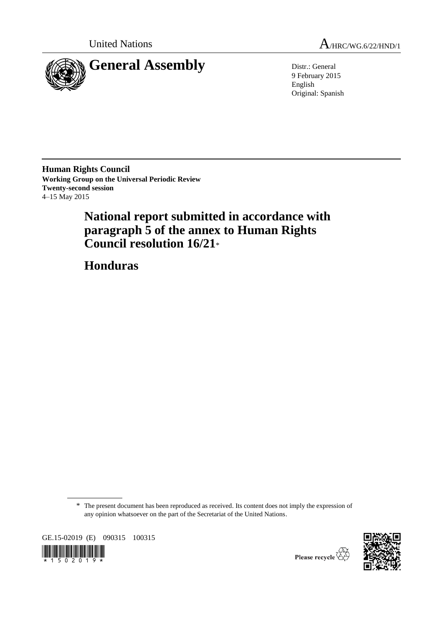

United Nations  $A_{HRC/WG.6/22/HND/1}$ 

9 February 2015 English Original: Spanish

**Human Rights Council Working Group on the Universal Periodic Review Twenty-second session** 4–15 May 2015

# **National report submitted in accordance with paragraph 5 of the annex to Human Rights Council resolution 16/21**\*

**Honduras**

\* The present document has been reproduced as received. Its content does not imply the expression of any opinion whatsoever on the part of the Secretariat of the United Nations.

GE.15-02019 (E) 090315 100315





Please recycle  $\overleftrightarrow{C}$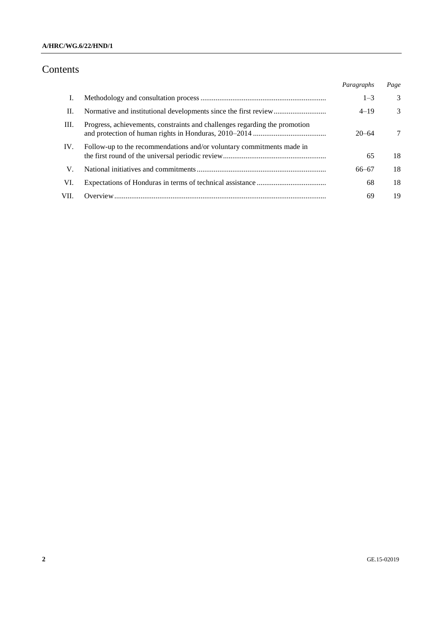#### **A/HRC/WG.6/22/HND/1**

## Contents

|      |                                                                            | Paragraphs | Page          |
|------|----------------------------------------------------------------------------|------------|---------------|
| I.   |                                                                            | $1 - 3$    | 3             |
| П.   |                                                                            | $4 - 19$   | $\mathcal{F}$ |
| Ш.   | Progress, achievements, constraints and challenges regarding the promotion | $20 - 64$  | 7             |
| IV.  | Follow-up to the recommendations and/or voluntary commitments made in      | 65         | 18            |
| V.   |                                                                            | $66 - 67$  | 18            |
| VI.  |                                                                            | 68         | 18            |
| VII. |                                                                            | 69         | 19            |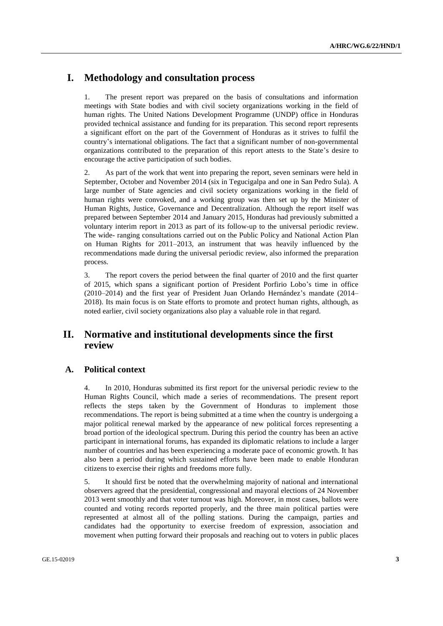## **I. Methodology and consultation process**

1. The present report was prepared on the basis of consultations and information meetings with State bodies and with civil society organizations working in the field of human rights. The United Nations Development Programme (UNDP) office in Honduras provided technical assistance and funding for its preparation. This second report represents a significant effort on the part of the Government of Honduras as it strives to fulfil the country's international obligations. The fact that a significant number of non-governmental organizations contributed to the preparation of this report attests to the State's desire to encourage the active participation of such bodies.

2. As part of the work that went into preparing the report, seven seminars were held in September, October and November 2014 (six in Tegucigalpa and one in San Pedro Sula). A large number of State agencies and civil society organizations working in the field of human rights were convoked, and a working group was then set up by the Minister of Human Rights, Justice, Governance and Decentralization. Although the report itself was prepared between September 2014 and January 2015, Honduras had previously submitted a voluntary interim report in 2013 as part of its follow-up to the universal periodic review. The wide- ranging consultations carried out on the Public Policy and National Action Plan on Human Rights for 2011–2013, an instrument that was heavily influenced by the recommendations made during the universal periodic review, also informed the preparation process.

3. The report covers the period between the final quarter of 2010 and the first quarter of 2015, which spans a significant portion of President Porfirio Lobo's time in office (2010–2014) and the first year of President Juan Orlando Hernández's mandate (2014– 2018). Its main focus is on State efforts to promote and protect human rights, although, as noted earlier, civil society organizations also play a valuable role in that regard.

### **II. Normative and institutional developments since the first review**

#### **A. Political context**

4. In 2010, Honduras submitted its first report for the universal periodic review to the Human Rights Council, which made a series of recommendations. The present report reflects the steps taken by the Government of Honduras to implement those recommendations. The report is being submitted at a time when the country is undergoing a major political renewal marked by the appearance of new political forces representing a broad portion of the ideological spectrum. During this period the country has been an active participant in international forums, has expanded its diplomatic relations to include a larger number of countries and has been experiencing a moderate pace of economic growth. It has also been a period during which sustained efforts have been made to enable Honduran citizens to exercise their rights and freedoms more fully.

5. It should first be noted that the overwhelming majority of national and international observers agreed that the presidential, congressional and mayoral elections of 24 November 2013 went smoothly and that voter turnout was high. Moreover, in most cases, ballots were counted and voting records reported properly, and the three main political parties were represented at almost all of the polling stations. During the campaign, parties and candidates had the opportunity to exercise freedom of expression, association and movement when putting forward their proposals and reaching out to voters in public places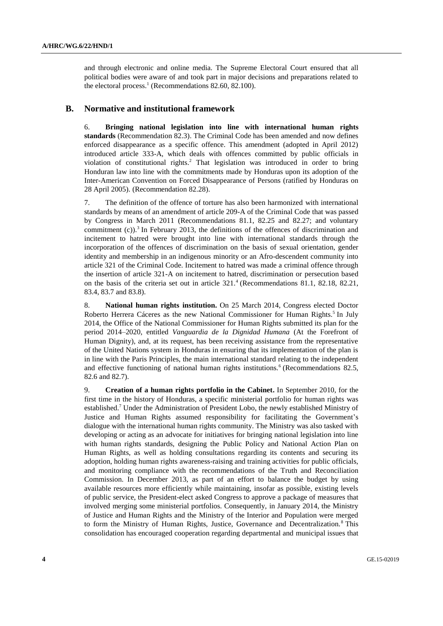and through electronic and online media. The Supreme Electoral Court ensured that all political bodies were aware of and took part in major decisions and preparations related to the electoral process.<sup>1</sup> (Recommendations 82.60, 82.100).

#### **B. Normative and institutional framework**

6. **Bringing national legislation into line with international human rights standards** (Recommendation 82.3). The Criminal Code has been amended and now defines enforced disappearance as a specific offence. This amendment (adopted in April 2012) introduced article 333-A, which deals with offences committed by public officials in violation of constitutional rights.<sup>2</sup> That legislation was introduced in order to bring Honduran law into line with the commitments made by Honduras upon its adoption of the Inter-American Convention on Forced Disappearance of Persons (ratified by Honduras on 28 April 2005). (Recommendation 82.28).

7. The definition of the offence of torture has also been harmonized with international standards by means of an amendment of article 209-A of the Criminal Code that was passed by Congress in March 2011 (Recommendations 81.1, 82.25 and 82.27; and voluntary commitment (c)).<sup>3</sup> In February 2013, the definitions of the offences of discrimination and incitement to hatred were brought into line with international standards through the incorporation of the offences of discrimination on the basis of sexual orientation, gender identity and membership in an indigenous minority or an Afro-descendent community into article 321 of the Criminal Code. Incitement to hatred was made a criminal offence through the insertion of article 321-A on incitement to hatred, discrimination or persecution based on the basis of the criteria set out in article  $321.^4$  (Recommendations 81.1, 82.18, 82.21, 83.4, 83.7 and 83.8).

8. **National human rights institution.** On 25 March 2014, Congress elected Doctor Roberto Herrera Cáceres as the new National Commissioner for Human Rights.<sup>5</sup> In July 2014, the Office of the National Commissioner for Human Rights submitted its plan for the period 2014–2020, entitled *Vanguardia de la Dignidad Humana* (At the Forefront of Human Dignity), and, at its request, has been receiving assistance from the representative of the United Nations system in Honduras in ensuring that its implementation of the plan is in line with the Paris Principles, the main international standard relating to the independent and effective functioning of national human rights institutions.<sup>6</sup> (Recommendations 82.5, 82.6 and 82.7).

9. **Creation of a human rights portfolio in the Cabinet.** In September 2010, for the first time in the history of Honduras, a specific ministerial portfolio for human rights was established.<sup>7</sup> Under the Administration of President Lobo, the newly established Ministry of Justice and Human Rights assumed responsibility for facilitating the Government's dialogue with the international human rights community. The Ministry was also tasked with developing or acting as an advocate for initiatives for bringing national legislation into line with human rights standards, designing the Public Policy and National Action Plan on Human Rights, as well as holding consultations regarding its contents and securing its adoption, holding human rights awareness-raising and training activities for public officials, and monitoring compliance with the recommendations of the Truth and Reconciliation Commission. In December 2013, as part of an effort to balance the budget by using available resources more efficiently while maintaining, insofar as possible, existing levels of public service, the President-elect asked Congress to approve a package of measures that involved merging some ministerial portfolios. Consequently, in January 2014, the Ministry of Justice and Human Rights and the Ministry of the Interior and Population were merged to form the Ministry of Human Rights, Justice, Governance and Decentralization.<sup>8</sup> This consolidation has encouraged cooperation regarding departmental and municipal issues that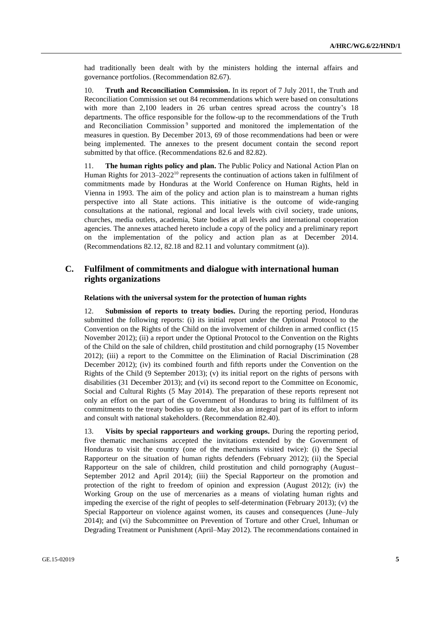had traditionally been dealt with by the ministers holding the internal affairs and governance portfolios. (Recommendation 82.67).

10. **Truth and Reconciliation Commission.** In its report of 7 July 2011, the Truth and Reconciliation Commission set out 84 recommendations which were based on consultations with more than 2,100 leaders in 26 urban centres spread across the country's 18 departments. The office responsible for the follow-up to the recommendations of the Truth and Reconciliation Commission<sup>9</sup> supported and monitored the implementation of the measures in question. By December 2013, 69 of those recommendations had been or were being implemented. The annexes to the present document contain the second report submitted by that office. (Recommendations 82.6 and 82.82).

11. **The human rights policy and plan.** The Public Policy and National Action Plan on Human Rights for  $2013-2022^{10}$  represents the continuation of actions taken in fulfilment of commitments made by Honduras at the World Conference on Human Rights, held in Vienna in 1993. The aim of the policy and action plan is to mainstream a human rights perspective into all State actions. This initiative is the outcome of wide-ranging consultations at the national, regional and local levels with civil society, trade unions, churches, media outlets, academia, State bodies at all levels and international cooperation agencies. The annexes attached hereto include a copy of the policy and a preliminary report on the implementation of the policy and action plan as at December 2014. (Recommendations 82.12, 82.18 and 82.11 and voluntary commitment (a)).

#### **C. Fulfilment of commitments and dialogue with international human rights organizations**

#### **Relations with the universal system for the protection of human rights**

12. **Submission of reports to treaty bodies.** During the reporting period, Honduras submitted the following reports: (i) its initial report under the Optional Protocol to the Convention on the Rights of the Child on the involvement of children in armed conflict (15 November 2012); (ii) a report under the Optional Protocol to the Convention on the Rights of the Child on the sale of children, child prostitution and child pornography (15 November 2012); (iii) a report to the Committee on the Elimination of Racial Discrimination (28 December 2012); (iv) its combined fourth and fifth reports under the Convention on the Rights of the Child (9 September 2013); (v) its initial report on the rights of persons with disabilities (31 December 2013); and (vi) its second report to the Committee on Economic, Social and Cultural Rights (5 May 2014). The preparation of these reports represent not only an effort on the part of the Government of Honduras to bring its fulfilment of its commitments to the treaty bodies up to date, but also an integral part of its effort to inform and consult with national stakeholders. (Recommendation 82.40).

13. **Visits by special rapporteurs and working groups.** During the reporting period, five thematic mechanisms accepted the invitations extended by the Government of Honduras to visit the country (one of the mechanisms visited twice): (i) the Special Rapporteur on the situation of human rights defenders (February 2012); (ii) the Special Rapporteur on the sale of children, child prostitution and child pornography (August– September 2012 and April 2014); (iii) the Special Rapporteur on the promotion and protection of the right to freedom of opinion and expression (August 2012); (iv) the Working Group on the use of mercenaries as a means of violating human rights and impeding the exercise of the right of peoples to self-determination (February 2013); (v) the Special Rapporteur on violence against women, its causes and consequences (June–July 2014); and (vi) the Subcommittee on Prevention of Torture and other Cruel, Inhuman or Degrading Treatment or Punishment (April–May 2012). The recommendations contained in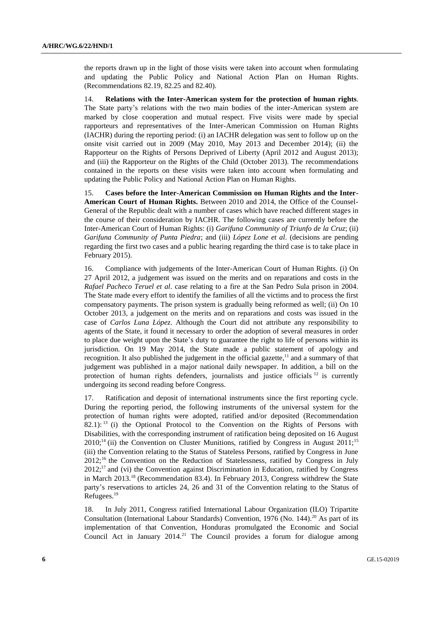the reports drawn up in the light of those visits were taken into account when formulating and updating the Public Policy and National Action Plan on Human Rights. (Recommendations 82.19, 82.25 and 82.40).

14. **Relations with the Inter-American system for the protection of human rights**. The State party's relations with the two main bodies of the inter-American system are marked by close cooperation and mutual respect. Five visits were made by special rapporteurs and representatives of the Inter-American Commission on Human Rights (IACHR) during the reporting period: (i) an IACHR delegation was sent to follow up on the onsite visit carried out in 2009 (May 2010, May 2013 and December 2014); (ii) the Rapporteur on the Rights of Persons Deprived of Liberty (April 2012 and August 2013); and (iii) the Rapporteur on the Rights of the Child (October 2013). The recommendations contained in the reports on these visits were taken into account when formulating and updating the Public Policy and National Action Plan on Human Rights.

15. **Cases before the Inter-American Commission on Human Rights and the Inter-American Court of Human Rights.** Between 2010 and 2014, the Office of the Counsel-General of the Republic dealt with a number of cases which have reached different stages in the course of their consideration by IACHR. The following cases are currently before the Inter-American Court of Human Rights: (i) *Garifuna Community of Triunfo de la Cruz*; (ii) *Garifuna Community of Punta Piedra*; and (iii) *López Lone et al*. (decisions are pending regarding the first two cases and a public hearing regarding the third case is to take place in February 2015).

16. Compliance with judgements of the Inter-American Court of Human Rights. (i) On 27 April 2012, a judgement was issued on the merits and on reparations and costs in the *Rafael Pacheco Teruel et al*. case relating to a fire at the San Pedro Sula prison in 2004. The State made every effort to identify the families of all the victims and to process the first compensatory payments. The prison system is gradually being reformed as well; (ii) On 10 October 2013, a judgement on the merits and on reparations and costs was issued in the case of *Carlos Luna López*. Although the Court did not attribute any responsibility to agents of the State, it found it necessary to order the adoption of several measures in order to place due weight upon the State's duty to guarantee the right to life of persons within its jurisdiction. On 19 May 2014, the State made a public statement of apology and recognition. It also published the judgement in the official gazette, $11$  and a summary of that judgement was published in a major national daily newspaper. In addition, a bill on the protection of human rights defenders, journalists and justice officials  $12$  is currently undergoing its second reading before Congress.

17. Ratification and deposit of international instruments since the first reporting cycle. During the reporting period, the following instruments of the universal system for the protection of human rights were adopted, ratified and/or deposited (Recommendation 82.1):  $13$  (i) the Optional Protocol to the Convention on the Rights of Persons with Disabilities, with the corresponding instrument of ratification being deposited on 16 August  $2010$ ;<sup>14</sup> (ii) the Convention on Cluster Munitions, ratified by Congress in August  $2011$ ;<sup>15</sup> (iii) the Convention relating to the Status of Stateless Persons, ratified by Congress in June 2012;<sup>16</sup> the Convention on the Reduction of Statelessness, ratified by Congress in July  $2012$ ;<sup>17</sup> and (vi) the Convention against Discrimination in Education, ratified by Congress in March 2013.<sup>18</sup> (Recommendation 83.4). In February 2013, Congress withdrew the State party's reservations to articles 24, 26 and 31 of the Convention relating to the Status of Refugees.<sup>19</sup>

18. In July 2011, Congress ratified International Labour Organization (ILO) Tripartite Consultation (International Labour Standards) Convention, 1976 (No. 144).<sup>20</sup> As part of its implementation of that Convention, Honduras promulgated the Economic and Social Council Act in January  $2014$ <sup>21</sup> The Council provides a forum for dialogue among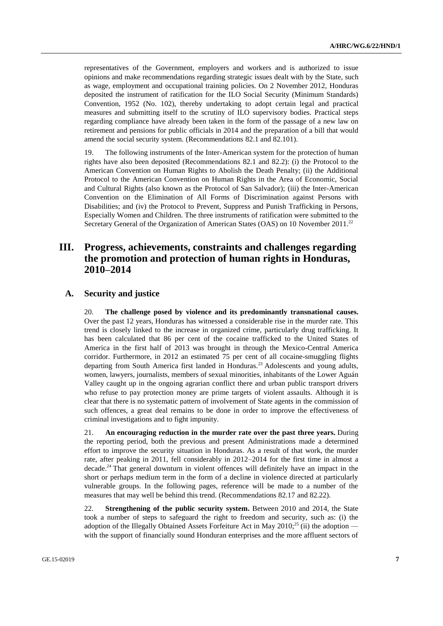representatives of the Government, employers and workers and is authorized to issue opinions and make recommendations regarding strategic issues dealt with by the State, such as wage, employment and occupational training policies. On 2 November 2012, Honduras deposited the instrument of ratification for the ILO Social Security (Minimum Standards) Convention, 1952 (No. 102), thereby undertaking to adopt certain legal and practical measures and submitting itself to the scrutiny of ILO supervisory bodies. Practical steps regarding compliance have already been taken in the form of the passage of a new law on retirement and pensions for public officials in 2014 and the preparation of a bill that would amend the social security system. (Recommendations 82.1 and 82.101).

19. The following instruments of the Inter-American system for the protection of human rights have also been deposited (Recommendations 82.1 and 82.2): (i) the Protocol to the American Convention on Human Rights to Abolish the Death Penalty; (ii) the Additional Protocol to the American Convention on Human Rights in the Area of Economic, Social and Cultural Rights (also known as the Protocol of San Salvador); (iii) the Inter-American Convention on the Elimination of All Forms of Discrimination against Persons with Disabilities; and (iv) the Protocol to Prevent, Suppress and Punish Trafficking in Persons, Especially Women and Children. The three instruments of ratification were submitted to the Secretary General of the Organization of American States (OAS) on 10 November 2011.<sup>22</sup>

# **III. Progress, achievements, constraints and challenges regarding the promotion and protection of human rights in Honduras, 2010–2014**

#### **A. Security and justice**

20. **The challenge posed by violence and its predominantly transnational causes.** Over the past 12 years, Honduras has witnessed a considerable rise in the murder rate. This trend is closely linked to the increase in organized crime, particularly drug trafficking. It has been calculated that 86 per cent of the cocaine trafficked to the United States of America in the first half of 2013 was brought in through the Mexico-Central America corridor. Furthermore, in 2012 an estimated 75 per cent of all cocaine-smuggling flights departing from South America first landed in Honduras.<sup>23</sup> Adolescents and young adults, women, lawyers, journalists, members of sexual minorities, inhabitants of the Lower Aguán Valley caught up in the ongoing agrarian conflict there and urban public transport drivers who refuse to pay protection money are prime targets of violent assaults. Although it is clear that there is no systematic pattern of involvement of State agents in the commission of such offences, a great deal remains to be done in order to improve the effectiveness of criminal investigations and to fight impunity.

21. **An encouraging reduction in the murder rate over the past three years.** During the reporting period, both the previous and present Administrations made a determined effort to improve the security situation in Honduras. As a result of that work, the murder rate, after peaking in 2011, fell considerably in 2012–2014 for the first time in almost a decade.<sup>24</sup> That general downturn in violent offences will definitely have an impact in the short or perhaps medium term in the form of a decline in violence directed at particularly vulnerable groups. In the following pages, reference will be made to a number of the measures that may well be behind this trend. (Recommendations 82.17 and 82.22).

22. **Strengthening of the public security system.** Between 2010 and 2014, the State took a number of steps to safeguard the right to freedom and security, such as: (i) the adoption of the Illegally Obtained Assets Forfeiture Act in May  $2010$ ;<sup>25</sup> (ii) the adoption with the support of financially sound Honduran enterprises and the more affluent sectors of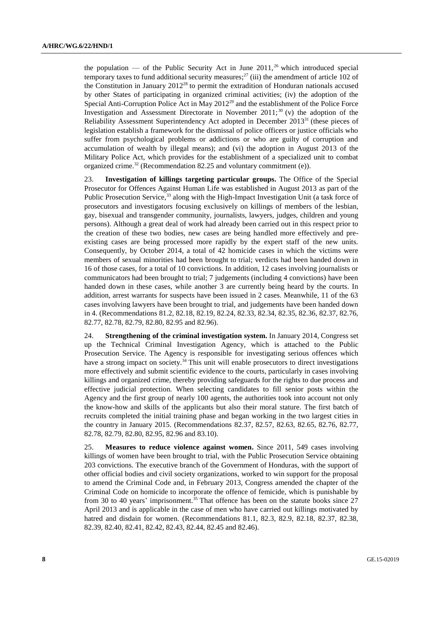the population — of the Public Security Act in June  $2011$ ,<sup>26</sup> which introduced special temporary taxes to fund additional security measures;<sup>27</sup> (iii) the amendment of article 102 of the Constitution in January  $2012^{28}$  to permit the extradition of Honduran nationals accused by other States of participating in organized criminal activities; (iv) the adoption of the Special Anti-Corruption Police Act in May 2012<sup>29</sup> and the establishment of the Police Force Investigation and Assessment Directorate in November  $2011$ ;<sup>30</sup> (v) the adoption of the Reliability Assessment Superintendency Act adopted in December  $2013<sup>31</sup>$  (these pieces of legislation establish a framework for the dismissal of police officers or justice officials who suffer from psychological problems or addictions or who are guilty of corruption and accumulation of wealth by illegal means); and (vi) the adoption in August 2013 of the Military Police Act, which provides for the establishment of a specialized unit to combat organized crime.<sup>32</sup> (Recommendation 82.25 and voluntary commitment  $(e)$ ).

23. **Investigation of killings targeting particular groups.** The Office of the Special Prosecutor for Offences Against Human Life was established in August 2013 as part of the Public Prosecution Service,<sup>33</sup> along with the High-Impact Investigation Unit (a task force of prosecutors and investigators focusing exclusively on killings of members of the lesbian, gay, bisexual and transgender community, journalists, lawyers, judges, children and young persons). Although a great deal of work had already been carried out in this respect prior to the creation of these two bodies, new cases are being handled more effectively and preexisting cases are being processed more rapidly by the expert staff of the new units. Consequently, by October 2014, a total of 42 homicide cases in which the victims were members of sexual minorities had been brought to trial; verdicts had been handed down in 16 of those cases, for a total of 10 convictions. In addition, 12 cases involving journalists or communicators had been brought to trial; 7 judgements (including 4 convictions) have been handed down in these cases, while another 3 are currently being heard by the courts. In addition, arrest warrants for suspects have been issued in 2 cases. Meanwhile, 11 of the 63 cases involving lawyers have been brought to trial, and judgements have been handed down in 4. (Recommendations 81.2, 82.18, 82.19, 82.24, 82.33, 82.34, 82.35, 82.36, 82.37, 82.76, 82.77, 82.78, 82.79, 82.80, 82.95 and 82.96).

24. **Strengthening of the criminal investigation system.** In January 2014, Congress set up the Technical Criminal Investigation Agency, which is attached to the Public Prosecution Service. The Agency is responsible for investigating serious offences which have a strong impact on society.<sup>34</sup> This unit will enable prosecutors to direct investigations more effectively and submit scientific evidence to the courts, particularly in cases involving killings and organized crime, thereby providing safeguards for the rights to due process and effective judicial protection. When selecting candidates to fill senior posts within the Agency and the first group of nearly 100 agents, the authorities took into account not only the know-how and skills of the applicants but also their moral stature. The first batch of recruits completed the initial training phase and began working in the two largest cities in the country in January 2015. (Recommendations 82.37, 82.57, 82.63, 82.65, 82.76, 82.77, 82.78, 82.79, 82.80, 82.95, 82.96 and 83.10).

25. **Measures to reduce violence against women.** Since 2011, 549 cases involving killings of women have been brought to trial, with the Public Prosecution Service obtaining 203 convictions. The executive branch of the Government of Honduras, with the support of other official bodies and civil society organizations, worked to win support for the proposal to amend the Criminal Code and, in February 2013, Congress amended the chapter of the Criminal Code on homicide to incorporate the offence of femicide, which is punishable by from 30 to 40 years' imprisonment.<sup>35</sup> That offence has been on the statute books since 27 April 2013 and is applicable in the case of men who have carried out killings motivated by hatred and disdain for women. (Recommendations 81.1, 82.3, 82.9, 82.18, 82.37, 82.38, 82.39, 82.40, 82.41, 82.42, 82.43, 82.44, 82.45 and 82.46).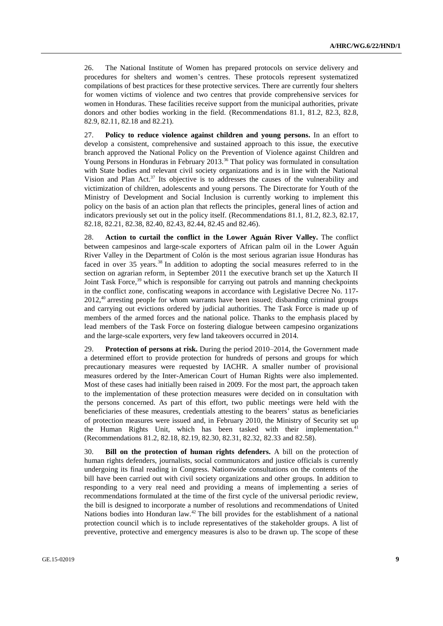26. The National Institute of Women has prepared protocols on service delivery and procedures for shelters and women's centres. These protocols represent systematized compilations of best practices for these protective services. There are currently four shelters for women victims of violence and two centres that provide comprehensive services for women in Honduras. These facilities receive support from the municipal authorities, private donors and other bodies working in the field. (Recommendations 81.1, 81.2, 82.3, 82.8, 82.9, 82.11, 82.18 and 82.21).

27. **Policy to reduce violence against children and young persons.** In an effort to develop a consistent, comprehensive and sustained approach to this issue, the executive branch approved the National Policy on the Prevention of Violence against Children and Young Persons in Honduras in February 2013.<sup>36</sup> That policy was formulated in consultation with State bodies and relevant civil society organizations and is in line with the National Vision and Plan Act.<sup>37</sup> Its objective is to addresses the causes of the vulnerability and victimization of children, adolescents and young persons. The Directorate for Youth of the Ministry of Development and Social Inclusion is currently working to implement this policy on the basis of an action plan that reflects the principles, general lines of action and indicators previously set out in the policy itself. (Recommendations 81.1, 81.2, 82.3, 82.17, 82.18, 82.21, 82.38, 82.40, 82.43, 82.44, 82.45 and 82.46).

28. **Action to curtail the conflict in the Lower Aguán River Valley.** The conflict between campesinos and large-scale exporters of African palm oil in the Lower Aguán River Valley in the Department of Colón is the most serious agrarian issue Honduras has faced in over 35 years.<sup>38</sup> In addition to adopting the social measures referred to in the section on agrarian reform, in September 2011 the executive branch set up the Xaturch II Joint Task Force,<sup>39</sup> which is responsible for carrying out patrols and manning checkpoints in the conflict zone, confiscating weapons in accordance with Legislative Decree No. 117- 2012,<sup>40</sup> arresting people for whom warrants have been issued; disbanding criminal groups and carrying out evictions ordered by judicial authorities. The Task Force is made up of members of the armed forces and the national police. Thanks to the emphasis placed by lead members of the Task Force on fostering dialogue between campesino organizations and the large-scale exporters, very few land takeovers occurred in 2014.

29. **Protection of persons at risk.** During the period 2010–2014, the Government made a determined effort to provide protection for hundreds of persons and groups for which precautionary measures were requested by IACHR. A smaller number of provisional measures ordered by the Inter-American Court of Human Rights were also implemented. Most of these cases had initially been raised in 2009. For the most part, the approach taken to the implementation of these protection measures were decided on in consultation with the persons concerned. As part of this effort, two public meetings were held with the beneficiaries of these measures, credentials attesting to the bearers' status as beneficiaries of protection measures were issued and, in February 2010, the Ministry of Security set up the Human Rights Unit, which has been tasked with their implementation.<sup>4</sup> (Recommendations 81.2, 82.18, 82.19, 82.30, 82.31, 82.32, 82.33 and 82.58).

30. **Bill on the protection of human rights defenders.** A bill on the protection of human rights defenders, journalists, social communicators and justice officials is currently undergoing its final reading in Congress. Nationwide consultations on the contents of the bill have been carried out with civil society organizations and other groups. In addition to responding to a very real need and providing a means of implementing a series of recommendations formulated at the time of the first cycle of the universal periodic review, the bill is designed to incorporate a number of resolutions and recommendations of United Nations bodies into Honduran law.<sup>42</sup> The bill provides for the establishment of a national protection council which is to include representatives of the stakeholder groups. A list of preventive, protective and emergency measures is also to be drawn up. The scope of these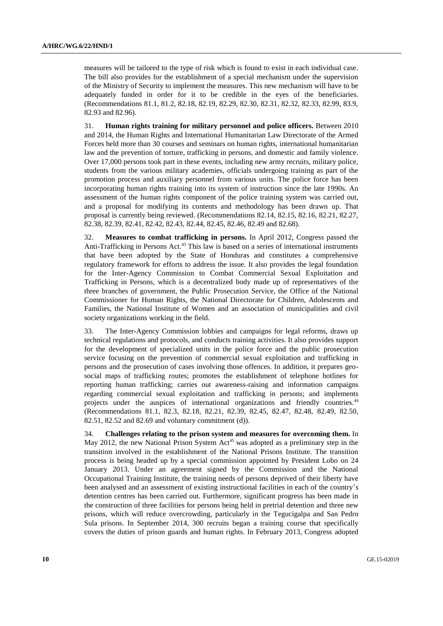measures will be tailored to the type of risk which is found to exist in each individual case. The bill also provides for the establishment of a special mechanism under the supervision of the Ministry of Security to implement the measures. This new mechanism will have to be adequately funded in order for it to be credible in the eyes of the beneficiaries. (Recommendations 81.1, 81.2, 82.18, 82.19, 82.29, 82.30, 82.31, 82.32, 82.33, 82.99, 83.9, 82.93 and 82.96).

31. **Human rights training for military personnel and police officers.** Between 2010 and 2014, the Human Rights and International Humanitarian Law Directorate of the Armed Forces held more than 30 courses and seminars on human rights, international humanitarian law and the prevention of torture, trafficking in persons, and domestic and family violence. Over 17,000 persons took part in these events, including new army recruits, military police, students from the various military academies, officials undergoing training as part of the promotion process and auxiliary personnel from various units. The police force has been incorporating human rights training into its system of instruction since the late 1990s. An assessment of the human rights component of the police training system was carried out, and a proposal for modifying its contents and methodology has been drawn up. That proposal is currently being reviewed. (Recommendations 82.14, 82.15, 82.16, 82.21, 82.27, 82.38, 82.39, 82.41, 82.42, 82.43, 82.44, 82.45, 82.46, 82.49 and 82.68).

32. **Measures to combat trafficking in persons.** In April 2012, Congress passed the Anti-Trafficking in Persons Act.<sup>43</sup> This law is based on a series of international instruments that have been adopted by the State of Honduras and constitutes a comprehensive regulatory framework for efforts to address the issue. It also provides the legal foundation for the Inter-Agency Commission to Combat Commercial Sexual Exploitation and Trafficking in Persons, which is a decentralized body made up of representatives of the three branches of government, the Public Prosecution Service, the Office of the National Commissioner for Human Rights, the National Directorate for Children, Adolescents and Families, the National Institute of Women and an association of municipalities and civil society organizations working in the field.

33. The Inter-Agency Commission lobbies and campaigns for legal reforms, draws up technical regulations and protocols, and conducts training activities. It also provides support for the development of specialized units in the police force and the public prosecution service focusing on the prevention of commercial sexual exploitation and trafficking in persons and the prosecution of cases involving those offences. In addition, it prepares geosocial maps of trafficking routes; promotes the establishment of telephone hotlines for reporting human trafficking; carries out awareness-raising and information campaigns regarding commercial sexual exploitation and trafficking in persons; and implements projects under the auspices of international organizations and friendly countries.<sup>44</sup> (Recommendations 81.1, 82.3, 82.18, 82.21, 82.39, 82.45, 82.47, 82.48, 82.49, 82.50, 82.51, 82.52 and 82.69 and voluntary commitment (d)).

34. **Challenges relating to the prison system and measures for overcoming them.** In May 2012, the new National Prison System Act<sup>45</sup> was adopted as a preliminary step in the transition involved in the establishment of the National Prisons Institute. The transition process is being headed up by a special commission appointed by President Lobo on 24 January 2013. Under an agreement signed by the Commission and the National Occupational Training Institute, the training needs of persons deprived of their liberty have been analysed and an assessment of existing instructional facilities in each of the country's detention centres has been carried out. Furthermore, significant progress has been made in the construction of three facilities for persons being held in pretrial detention and three new prisons, which will reduce overcrowding, particularly in the Tegucigalpa and San Pedro Sula prisons. In September 2014, 300 recruits began a training course that specifically covers the duties of prison guards and human rights. In February 2013, Congress adopted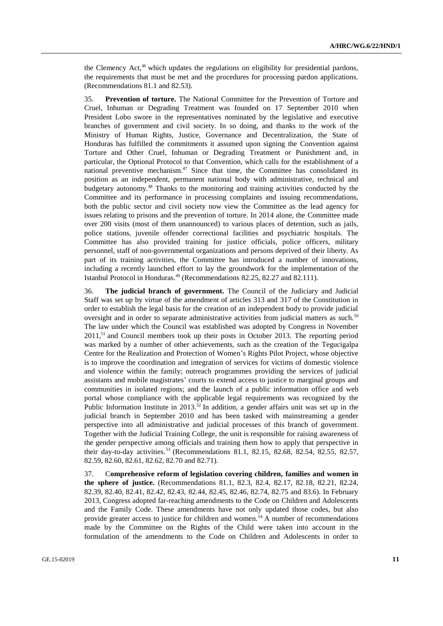the Clemency Act,<sup>46</sup> which updates the regulations on eligibility for presidential pardons, the requirements that must be met and the procedures for processing pardon applications. (Recommendations 81.1 and 82.53).

35. **Prevention of torture.** The National Committee for the Prevention of Torture and Cruel, Inhuman or Degrading Treatment was founded on 17 September 2010 when President Lobo swore in the representatives nominated by the legislative and executive branches of government and civil society. In so doing, and thanks to the work of the Ministry of Human Rights, Justice, Governance and Decentralization, the State of Honduras has fulfilled the commitments it assumed upon signing the Convention against Torture and Other Cruel, Inhuman or Degrading Treatment or Punishment and, in particular, the Optional Protocol to that Convention, which calls for the establishment of a national preventive mechanism.<sup>47</sup> Since that time, the Committee has consolidated its position as an independent, permanent national body with administrative, technical and budgetary autonomy.<sup>48</sup> Thanks to the monitoring and training activities conducted by the Committee and its performance in processing complaints and issuing recommendations, both the public sector and civil society now view the Committee as the lead agency for issues relating to prisons and the prevention of torture. In 2014 alone, the Committee made over 200 visits (most of them unannounced) to various places of detention, such as jails, police stations, juvenile offender correctional facilities and psychiatric hospitals. The Committee has also provided training for justice officials, police officers, military personnel, staff of non-governmental organizations and persons deprived of their liberty. As part of its training activities, the Committee has introduced a number of innovations, including a recently launched effort to lay the groundwork for the implementation of the Istanbul Protocol in Honduras.<sup>49</sup> (Recommendations 82.25, 82.27 and 82.111).

36. **The judicial branch of government.** The Council of the Judiciary and Judicial Staff was set up by virtue of the amendment of articles 313 and 317 of the Constitution in order to establish the legal basis for the creation of an independent body to provide judicial oversight and in order to separate administrative activities from judicial matters as such.<sup>50</sup> The law under which the Council was established was adopted by Congress in November  $2011$ ,<sup>51</sup> and Council members took up their posts in October 2013. The reporting period was marked by a number of other achievements, such as the creation of the Tegucigalpa Centre for the Realization and Protection of Women's Rights Pilot Project, whose objective is to improve the coordination and integration of services for victims of domestic violence and violence within the family; outreach programmes providing the services of judicial assistants and mobile magistrates' courts to extend access to justice to marginal groups and communities in isolated regions; and the launch of a public information office and web portal whose compliance with the applicable legal requirements was recognized by the Public Information Institute in  $2013.^{52}$  In addition, a gender affairs unit was set up in the judicial branch in September 2010 and has been tasked with mainstreaming a gender perspective into all administrative and judicial processes of this branch of government. Together with the Judicial Training College, the unit is responsible for raising awareness of the gender perspective among officials and training them how to apply that perspective in their day-to-day activities.<sup>53</sup> (Recommendations 81.1, 82.15, 82.68, 82.54, 82.55, 82.57, 82.59, 82.60, 82.61, 82.62, 82.70 and 82.71).

37. C**omprehensive reform of legislation covering children, families and women in the sphere of justice.** (Recommendations 81.1, 82.3, 82.4, 82.17, 82.18, 82.21, 82.24, 82.39, 82.40, 82.41, 82.42, 82.43, 82.44, 82.45, 82.46, 82.74, 82.75 and 83.6). In February 2013, Congress adopted far-reaching amendments to the Code on Children and Adolescents and the Family Code. These amendments have not only updated those codes, but also provide greater access to justice for children and women.<sup>54</sup> A number of recommendations made by the Committee on the Rights of the Child were taken into account in the formulation of the amendments to the Code on Children and Adolescents in order to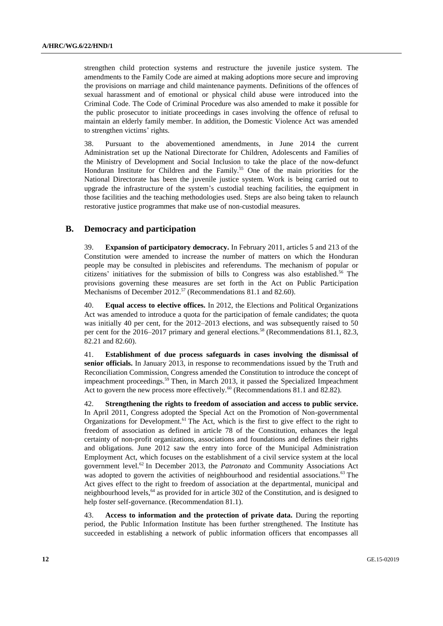strengthen child protection systems and restructure the juvenile justice system. The amendments to the Family Code are aimed at making adoptions more secure and improving the provisions on marriage and child maintenance payments. Definitions of the offences of sexual harassment and of emotional or physical child abuse were introduced into the Criminal Code. The Code of Criminal Procedure was also amended to make it possible for the public prosecutor to initiate proceedings in cases involving the offence of refusal to maintain an elderly family member. In addition, the Domestic Violence Act was amended to strengthen victims' rights.

38. Pursuant to the abovementioned amendments, in June 2014 the current Administration set up the National Directorate for Children, Adolescents and Families of the Ministry of Development and Social Inclusion to take the place of the now-defunct Honduran Institute for Children and the Family.<sup>55</sup> One of the main priorities for the National Directorate has been the juvenile justice system. Work is being carried out to upgrade the infrastructure of the system's custodial teaching facilities, the equipment in those facilities and the teaching methodologies used. Steps are also being taken to relaunch restorative justice programmes that make use of non-custodial measures.

#### **B. Democracy and participation**

39. **Expansion of participatory democracy.** In February 2011, articles 5 and 213 of the Constitution were amended to increase the number of matters on which the Honduran people may be consulted in plebiscites and referendums. The mechanism of popular or citizens' initiatives for the submission of bills to Congress was also established.<sup>56</sup> The provisions governing these measures are set forth in the Act on Public Participation Mechanisms of December 2012.<sup>57</sup> (Recommendations 81.1 and 82.60).

40. **Equal access to elective offices.** In 2012, the Elections and Political Organizations Act was amended to introduce a quota for the participation of female candidates; the quota was initially 40 per cent, for the 2012–2013 elections, and was subsequently raised to 50 per cent for the 2016–2017 primary and general elections.<sup>58</sup> (Recommendations 81.1, 82.3, 82.21 and 82.60).

41. **Establishment of due process safeguards in cases involving the dismissal of senior officials.** In January 2013, in response to recommendations issued by the Truth and Reconciliation Commission, Congress amended the Constitution to introduce the concept of impeachment proceedings.<sup>59</sup> Then, in March 2013, it passed the Specialized Impeachment Act to govern the new process more effectively.<sup>60</sup> (Recommendations 81.1 and 82.82).

42. **Strengthening the rights to freedom of association and access to public service.** In April 2011, Congress adopted the Special Act on the Promotion of Non-governmental Organizations for Development.<sup>61</sup> The Act, which is the first to give effect to the right to freedom of association as defined in article 78 of the Constitution, enhances the legal certainty of non-profit organizations, associations and foundations and defines their rights and obligations. June 2012 saw the entry into force of the Municipal Administration Employment Act, which focuses on the establishment of a civil service system at the local government level.<sup>62</sup> In December 2013, the *Patronato* and Community Associations Act was adopted to govern the activities of neighbourhood and residential associations.<sup>63</sup> The Act gives effect to the right to freedom of association at the departmental, municipal and neighbourhood levels,<sup>64</sup> as provided for in article 302 of the Constitution, and is designed to help foster self-governance. (Recommendation 81.1).

43. **Access to information and the protection of private data.** During the reporting period, the Public Information Institute has been further strengthened. The Institute has succeeded in establishing a network of public information officers that encompasses all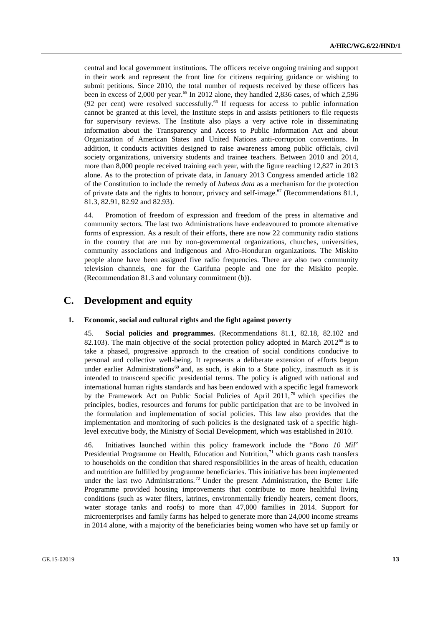central and local government institutions. The officers receive ongoing training and support in their work and represent the front line for citizens requiring guidance or wishing to submit petitions. Since 2010, the total number of requests received by these officers has been in excess of 2,000 per year.<sup>65</sup> In 2012 alone, they handled 2,836 cases, of which 2,596 (92 per cent) were resolved successfully.<sup>66</sup> If requests for access to public information cannot be granted at this level, the Institute steps in and assists petitioners to file requests for supervisory reviews. The Institute also plays a very active role in disseminating information about the Transparency and Access to Public Information Act and about Organization of American States and United Nations anti-corruption conventions. In addition, it conducts activities designed to raise awareness among public officials, civil society organizations, university students and trainee teachers. Between 2010 and 2014, more than 8,000 people received training each year, with the figure reaching 12,827 in 2013 alone. As to the protection of private data, in January 2013 Congress amended article 182 of the Constitution to include the remedy of *habeas data* as a mechanism for the protection of private data and the rights to honour, privacy and self-image.<sup>67</sup> (Recommendations 81.1, 81.3, 82.91, 82.92 and 82.93).

44. Promotion of freedom of expression and freedom of the press in alternative and community sectors. The last two Administrations have endeavoured to promote alternative forms of expression. As a result of their efforts, there are now 22 community radio stations in the country that are run by non-governmental organizations, churches, universities, community associations and indigenous and Afro-Honduran organizations. The Miskito people alone have been assigned five radio frequencies. There are also two community television channels, one for the Garifuna people and one for the Miskito people. (Recommendation 81.3 and voluntary commitment (b)).

### **C. Development and equity**

#### **1. Economic, social and cultural rights and the fight against poverty**

45. **Social policies and programmes.** (Recommendations 81.1, 82.18, 82.102 and 82.103). The main objective of the social protection policy adopted in March  $2012^{68}$  is to take a phased, progressive approach to the creation of social conditions conducive to personal and collective well-being. It represents a deliberate extension of efforts begun under earlier Administrations<sup>69</sup> and, as such, is akin to a State policy, inasmuch as it is intended to transcend specific presidential terms. The policy is aligned with national and international human rights standards and has been endowed with a specific legal framework by the Framework Act on Public Social Policies of April 2011, <sup>70</sup> which specifies the principles, bodies, resources and forums for public participation that are to be involved in the formulation and implementation of social policies. This law also provides that the implementation and monitoring of such policies is the designated task of a specific highlevel executive body, the Ministry of Social Development, which was established in 2010.

46. Initiatives launched within this policy framework include the "*Bono 10 Mil*" Presidential Programme on Health, Education and Nutrition,<sup>71</sup> which grants cash transfers to households on the condition that shared responsibilities in the areas of health, education and nutrition are fulfilled by programme beneficiaries. This initiative has been implemented under the last two Administrations.<sup>72</sup> Under the present Administration, the Better Life Programme provided housing improvements that contribute to more healthful living conditions (such as water filters, latrines, environmentally friendly heaters, cement floors, water storage tanks and roofs) to more than 47,000 families in 2014. Support for microenterprises and family farms has helped to generate more than 24,000 income streams in 2014 alone, with a majority of the beneficiaries being women who have set up family or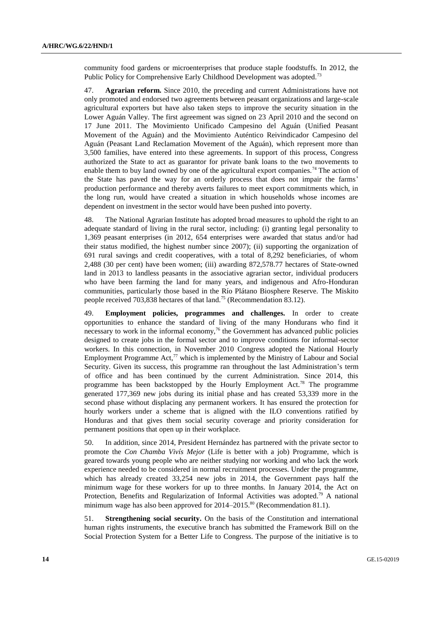community food gardens or microenterprises that produce staple foodstuffs. In 2012, the Public Policy for Comprehensive Early Childhood Development was adopted.<sup>73</sup>

47. **Agrarian reform.** Since 2010, the preceding and current Administrations have not only promoted and endorsed two agreements between peasant organizations and large-scale agricultural exporters but have also taken steps to improve the security situation in the Lower Aguán Valley. The first agreement was signed on 23 April 2010 and the second on 17 June 2011. The Movimiento Unificado Campesino del Aguán (Unified Peasant Movement of the Aguán) and the Movimiento Auténtico Reivindicador Campesino del Aguán (Peasant Land Reclamation Movement of the Aguán), which represent more than 3,500 families, have entered into these agreements. In support of this process, Congress authorized the State to act as guarantor for private bank loans to the two movements to enable them to buy land owned by one of the agricultural export companies.<sup>74</sup> The action of the State has paved the way for an orderly process that does not impair the farms' production performance and thereby averts failures to meet export commitments which, in the long run, would have created a situation in which households whose incomes are dependent on investment in the sector would have been pushed into poverty.

48. The National Agrarian Institute has adopted broad measures to uphold the right to an adequate standard of living in the rural sector, including: (i) granting legal personality to 1,369 peasant enterprises (in 2012, 654 enterprises were awarded that status and/or had their status modified, the highest number since 2007); (ii) supporting the organization of 691 rural savings and credit cooperatives, with a total of 8,292 beneficiaries, of whom 2,488 (30 per cent) have been women; (iii) awarding 872,578.77 hectares of State-owned land in 2013 to landless peasants in the associative agrarian sector, individual producers who have been farming the land for many years, and indigenous and Afro-Honduran communities, particularly those based in the Río Plátano Biosphere Reserve. The Miskito people received 703,838 hectares of that land.<sup>75</sup> (Recommendation 83.12).

49. **Employment policies, programmes and challenges.** In order to create opportunities to enhance the standard of living of the many Hondurans who find it necessary to work in the informal economy,<sup>76</sup> the Government has advanced public policies designed to create jobs in the formal sector and to improve conditions for informal-sector workers. In this connection, in November 2010 Congress adopted the National Hourly Employment Programme Act, $^{77}$  which is implemented by the Ministry of Labour and Social Security. Given its success, this programme ran throughout the last Administration's term of office and has been continued by the current Administration. Since 2014, this programme has been backstopped by the Hourly Employment Act.<sup>78</sup> The programme generated 177,369 new jobs during its initial phase and has created 53,339 more in the second phase without displacing any permanent workers. It has ensured the protection for hourly workers under a scheme that is aligned with the ILO conventions ratified by Honduras and that gives them social security coverage and priority consideration for permanent positions that open up in their workplace.

50. In addition, since 2014, President Hernández has partnered with the private sector to promote the *Con Chamba Vivís Mejor* (Life is better with a job) Programme, which is geared towards young people who are neither studying nor working and who lack the work experience needed to be considered in normal recruitment processes. Under the programme, which has already created 33,254 new jobs in 2014, the Government pays half the minimum wage for these workers for up to three months. In January 2014, the Act on Protection, Benefits and Regularization of Informal Activities was adopted.<sup>79</sup> A national minimum wage has also been approved for 2014–2015.<sup>80</sup> (Recommendation 81.1).

51. **Strengthening social security.** On the basis of the Constitution and international human rights instruments, the executive branch has submitted the Framework Bill on the Social Protection System for a Better Life to Congress. The purpose of the initiative is to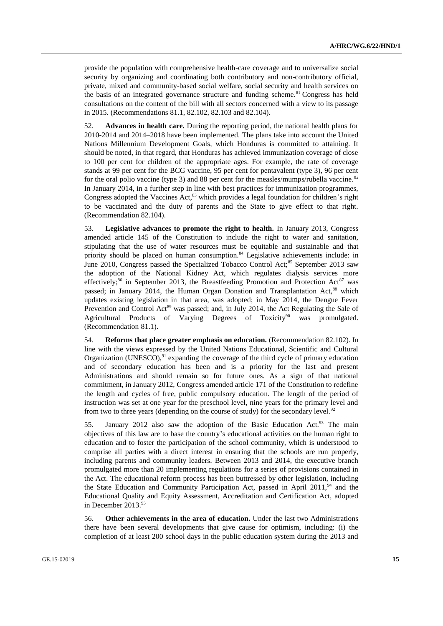provide the population with comprehensive health-care coverage and to universalize social security by organizing and coordinating both contributory and non-contributory official, private, mixed and community-based social welfare, social security and health services on the basis of an integrated governance structure and funding scheme.<sup>81</sup> Congress has held consultations on the content of the bill with all sectors concerned with a view to its passage in 2015. (Recommendations 81.1, 82.102, 82.103 and 82.104).

52. **Advances in health care.** During the reporting period, the national health plans for 2010-2014 and 2014–2018 have been implemented. The plans take into account the United Nations Millennium Development Goals, which Honduras is committed to attaining. It should be noted, in that regard, that Honduras has achieved immunization coverage of close to 100 per cent for children of the appropriate ages. For example, the rate of coverage stands at 99 per cent for the BCG vaccine, 95 per cent for pentavalent (type 3), 96 per cent for the oral polio vaccine (type 3) and 88 per cent for the measles/mumps/rubella vaccine.<sup>82</sup> In January 2014, in a further step in line with best practices for immunization programmes, Congress adopted the Vaccines Act, $^{83}$  which provides a legal foundation for children's right to be vaccinated and the duty of parents and the State to give effect to that right. (Recommendation 82.104).

53. **Legislative advances to promote the right to health.** In January 2013, Congress amended article 145 of the Constitution to include the right to water and sanitation, stipulating that the use of water resources must be equitable and sustainable and that priority should be placed on human consumption.<sup>84</sup> Legislative achievements include: in June 2010, Congress passed the Specialized Tobacco Control Act;<sup>85</sup> September 2013 saw the adoption of the National Kidney Act, which regulates dialysis services more effectively;<sup>86</sup> in September 2013, the Breastfeeding Promotion and Protection Act<sup>87</sup> was passed; in January 2014, the Human Organ Donation and Transplantation Act,<sup>88</sup> which updates existing legislation in that area, was adopted; in May 2014, the Dengue Fever Prevention and Control Act<sup>89</sup> was passed; and, in July 2014, the Act Regulating the Sale of Agricultural Products of Varying Degrees of Toxicity<sup>90</sup> was promulgated. (Recommendation 81.1).

54. **Reforms that place greater emphasis on education.** (Recommendation 82.102). In line with the views expressed by the United Nations Educational, Scientific and Cultural Organization (UNESCO), $91$  expanding the coverage of the third cycle of primary education and of secondary education has been and is a priority for the last and present Administrations and should remain so for future ones. As a sign of that national commitment, in January 2012, Congress amended article 171 of the Constitution to redefine the length and cycles of free, public compulsory education. The length of the period of instruction was set at one year for the preschool level, nine years for the primary level and from two to three years (depending on the course of study) for the secondary level.<sup>92</sup>

55. January 2012 also saw the adoption of the Basic Education Act.<sup>93</sup> The main objectives of this law are to base the country's educational activities on the human right to education and to foster the participation of the school community, which is understood to comprise all parties with a direct interest in ensuring that the schools are run properly, including parents and community leaders. Between 2013 and 2014, the executive branch promulgated more than 20 implementing regulations for a series of provisions contained in the Act. The educational reform process has been buttressed by other legislation, including the State Education and Community Participation Act, passed in April 2011,<sup>94</sup> and the Educational Quality and Equity Assessment, Accreditation and Certification Act, adopted in December 2013.<sup>9</sup>

56. **Other achievements in the area of education.** Under the last two Administrations there have been several developments that give cause for optimism, including: (i) the completion of at least 200 school days in the public education system during the 2013 and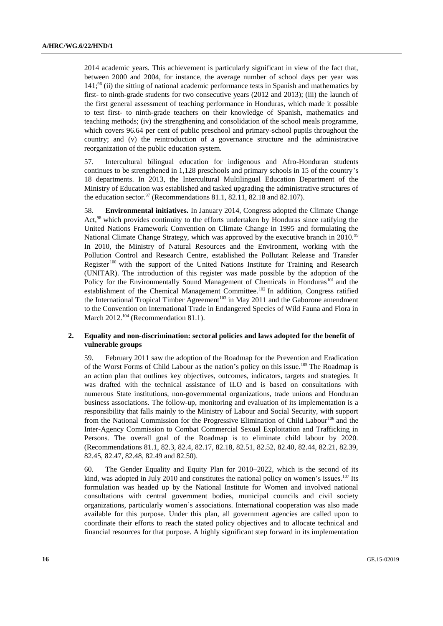2014 academic years. This achievement is particularly significant in view of the fact that, between 2000 and 2004, for instance, the average number of school days per year was  $141;^{96}$  (ii) the sitting of national academic performance tests in Spanish and mathematics by first- to ninth-grade students for two consecutive years (2012 and 2013); (iii) the launch of the first general assessment of teaching performance in Honduras, which made it possible to test first- to ninth-grade teachers on their knowledge of Spanish, mathematics and teaching methods; (iv) the strengthening and consolidation of the school meals programme, which covers 96.64 per cent of public preschool and primary-school pupils throughout the country; and (v) the reintroduction of a governance structure and the administrative reorganization of the public education system.

57. Intercultural bilingual education for indigenous and Afro-Honduran students continues to be strengthened in 1,128 preschools and primary schools in 15 of the country's 18 departments. In 2013, the Intercultural Multilingual Education Department of the Ministry of Education was established and tasked upgrading the administrative structures of the education sector.<sup>97</sup> (Recommendations 81.1, 82.11, 82.18 and 82.107).

58. **Environmental initiatives.** In January 2014, Congress adopted the Climate Change Act,<sup>98</sup> which provides continuity to the efforts undertaken by Honduras since ratifying the United Nations Framework Convention on Climate Change in 1995 and formulating the National Climate Change Strategy, which was approved by the executive branch in 2010.<sup>99</sup> In 2010, the Ministry of Natural Resources and the Environment, working with the Pollution Control and Research Centre, established the Pollutant Release and Transfer Register<sup>100</sup> with the support of the United Nations Institute for Training and Research (UNITAR). The introduction of this register was made possible by the adoption of the Policy for the Environmentally Sound Management of Chemicals in Honduras<sup>101</sup> and the establishment of the Chemical Management Committee.<sup>102</sup> In addition, Congress ratified the International Tropical Timber Agreement<sup>103</sup> in May 2011 and the Gaborone amendment to the Convention on International Trade in Endangered Species of Wild Fauna and Flora in March 2012.<sup>104</sup> (Recommendation 81.1).

#### **2. Equality and non-discrimination: sectoral policies and laws adopted for the benefit of vulnerable groups**

59. February 2011 saw the adoption of the Roadmap for the Prevention and Eradication of the Worst Forms of Child Labour as the nation's policy on this issue.<sup>105</sup> The Roadmap is an action plan that outlines key objectives, outcomes, indicators, targets and strategies. It was drafted with the technical assistance of ILO and is based on consultations with numerous State institutions, non-governmental organizations, trade unions and Honduran business associations. The follow-up, monitoring and evaluation of its implementation is a responsibility that falls mainly to the Ministry of Labour and Social Security, with support from the National Commission for the Progressive Elimination of Child Labour<sup>106</sup> and the Inter-Agency Commission to Combat Commercial Sexual Exploitation and Trafficking in Persons. The overall goal of the Roadmap is to eliminate child labour by 2020. (Recommendations 81.1, 82.3, 82.4, 82.17, 82.18, 82.51, 82.52, 82.40, 82.44, 82.21, 82.39, 82.45, 82.47, 82.48, 82.49 and 82.50).

60. The Gender Equality and Equity Plan for 2010–2022, which is the second of its kind, was adopted in July 2010 and constitutes the national policy on women's issues.<sup>107</sup> Its formulation was headed up by the National Institute for Women and involved national consultations with central government bodies, municipal councils and civil society organizations, particularly women's associations. International cooperation was also made available for this purpose. Under this plan, all government agencies are called upon to coordinate their efforts to reach the stated policy objectives and to allocate technical and financial resources for that purpose. A highly significant step forward in its implementation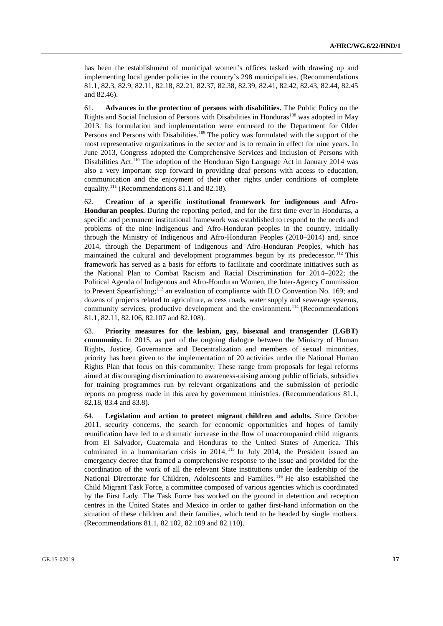has been the establishment of municipal women's offices tasked with drawing up and implementing local gender policies in the country's 298 municipalities. (Recommendations 81.1, 82.3, 82.9, 82.11, 82.18, 82.21, 82.37, 82.38, 82.39, 82.41, 82.42, 82.43, 82.44, 82.45 and 82.46).

61. **Advances in the protection of persons with disabilities.** The Public Policy on the Rights and Social Inclusion of Persons with Disabilities in Honduras<sup>108</sup> was adopted in May 2013. Its formulation and implementation were entrusted to the Department for Older Persons and Persons with Disabilities.<sup>109</sup> The policy was formulated with the support of the most representative organizations in the sector and is to remain in effect for nine years. In June 2013, Congress adopted the Comprehensive Services and Inclusion of Persons with Disabilities Act.<sup>110</sup> The adoption of the Honduran Sign Language Act in January 2014 was also a very important step forward in providing deaf persons with access to education, communication and the enjoyment of their other rights under conditions of complete equality.<sup>111</sup> (Recommendations 81.1 and 82.18).

62. **Creation of a specific institutional framework for indigenous and Afro-Honduran peoples.** During the reporting period, and for the first time ever in Honduras, a specific and permanent institutional framework was established to respond to the needs and problems of the nine indigenous and Afro-Honduran peoples in the country, initially through the Ministry of Indigenous and Afro-Honduran Peoples (2010–2014) and, since 2014, through the Department of Indigenous and Afro-Honduran Peoples, which has maintained the cultural and development programmes begun by its predecessor.<sup>112</sup> This framework has served as a basis for efforts to facilitate and coordinate initiatives such as the National Plan to Combat Racism and Racial Discrimination for 2014–2022; the Political Agenda of Indigenous and Afro-Honduran Women, the Inter-Agency Commission to Prevent Spearfishing;<sup>113</sup> an evaluation of compliance with ILO Convention No. 169; and dozens of projects related to agriculture, access roads, water supply and sewerage systems, community services, productive development and the environment.<sup>114</sup> (Recommendations 81.1, 82.11, 82.106, 82.107 and 82.108).

63. **Priority measures for the lesbian, gay, bisexual and transgender (LGBT) community.** In 2015, as part of the ongoing dialogue between the Ministry of Human Rights, Justice, Governance and Decentralization and members of sexual minorities, priority has been given to the implementation of 20 activities under the National Human Rights Plan that focus on this community. These range from proposals for legal reforms aimed at discouraging discrimination to awareness-raising among public officials, subsidies for training programmes run by relevant organizations and the submission of periodic reports on progress made in this area by government ministries. (Recommendations 81.1, 82.18, 83.4 and 83.8).

64. **Legislation and action to protect migrant children and adults.** Since October 2011, security concerns, the search for economic opportunities and hopes of family reunification have led to a dramatic increase in the flow of unaccompanied child migrants from El Salvador, Guatemala and Honduras to the United States of America. This culminated in a humanitarian crisis in 2014. <sup>115</sup> In July 2014, the President issued an emergency decree that framed a comprehensive response to the issue and provided for the coordination of the work of all the relevant State institutions under the leadership of the National Directorate for Children, Adolescents and Families. <sup>116</sup> He also established the Child Migrant Task Force, a committee composed of various agencies which is coordinated by the First Lady. The Task Force has worked on the ground in detention and reception centres in the United States and Mexico in order to gather first-hand information on the situation of these children and their families, which tend to be headed by single mothers. (Recommendations 81.1, 82.102, 82.109 and 82.110).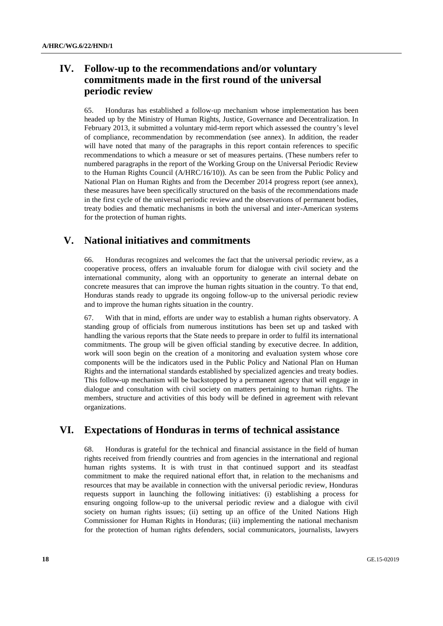# **IV. Follow-up to the recommendations and/or voluntary commitments made in the first round of the universal periodic review**

65. Honduras has established a follow-up mechanism whose implementation has been headed up by the Ministry of Human Rights, Justice, Governance and Decentralization. In February 2013, it submitted a voluntary mid-term report which assessed the country's level of compliance, recommendation by recommendation (see annex). In addition, the reader will have noted that many of the paragraphs in this report contain references to specific recommendations to which a measure or set of measures pertains. (These numbers refer to numbered paragraphs in the report of the Working Group on the Universal Periodic Review to the Human Rights Council (A/HRC/16/10)). As can be seen from the Public Policy and National Plan on Human Rights and from the December 2014 progress report (see annex), these measures have been specifically structured on the basis of the recommendations made in the first cycle of the universal periodic review and the observations of permanent bodies, treaty bodies and thematic mechanisms in both the universal and inter-American systems for the protection of human rights.

# **V. National initiatives and commitments**

66. Honduras recognizes and welcomes the fact that the universal periodic review, as a cooperative process, offers an invaluable forum for dialogue with civil society and the international community, along with an opportunity to generate an internal debate on concrete measures that can improve the human rights situation in the country. To that end, Honduras stands ready to upgrade its ongoing follow-up to the universal periodic review and to improve the human rights situation in the country.

67. With that in mind, efforts are under way to establish a human rights observatory. A standing group of officials from numerous institutions has been set up and tasked with handling the various reports that the State needs to prepare in order to fulfil its international commitments. The group will be given official standing by executive decree. In addition, work will soon begin on the creation of a monitoring and evaluation system whose core components will be the indicators used in the Public Policy and National Plan on Human Rights and the international standards established by specialized agencies and treaty bodies. This follow-up mechanism will be backstopped by a permanent agency that will engage in dialogue and consultation with civil society on matters pertaining to human rights. The members, structure and activities of this body will be defined in agreement with relevant organizations.

# **VI. Expectations of Honduras in terms of technical assistance**

68. Honduras is grateful for the technical and financial assistance in the field of human rights received from friendly countries and from agencies in the international and regional human rights systems. It is with trust in that continued support and its steadfast commitment to make the required national effort that, in relation to the mechanisms and resources that may be available in connection with the universal periodic review, Honduras requests support in launching the following initiatives: (i) establishing a process for ensuring ongoing follow-up to the universal periodic review and a dialogue with civil society on human rights issues; (ii) setting up an office of the United Nations High Commissioner for Human Rights in Honduras; (iii) implementing the national mechanism for the protection of human rights defenders, social communicators, journalists, lawyers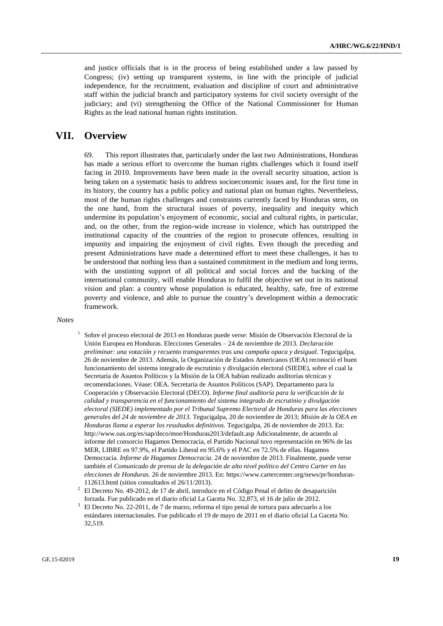and justice officials that is in the process of being established under a law passed by Congress; (iv) setting up transparent systems, in line with the principle of judicial independence, for the recruitment, evaluation and discipline of court and administrative staff within the judicial branch and participatory systems for civil society oversight of the judiciary; and (vi) strengthening the Office of the National Commissioner for Human Rights as the lead national human rights institution.

### **VII. Overview**

69. This report illustrates that, particularly under the last two Administrations, Honduras has made a serious effort to overcome the human rights challenges which it found itself facing in 2010. Improvements have been made in the overall security situation, action is being taken on a systematic basis to address socioeconomic issues and, for the first time in its history, the country has a public policy and national plan on human rights. Nevertheless, most of the human rights challenges and constraints currently faced by Honduras stem, on the one hand, from the structural issues of poverty, inequality and inequity which undermine its population's enjoyment of economic, social and cultural rights, in particular, and, on the other, from the region-wide increase in violence, which has outstripped the institutional capacity of the countries of the region to prosecute offences, resulting in impunity and impairing the enjoyment of civil rights. Even though the preceding and present Administrations have made a determined effort to meet these challenges, it has to be understood that nothing less than a sustained commitment in the medium and long terms, with the unstinting support of all political and social forces and the backing of the international community, will enable Honduras to fulfil the objective set out in its national vision and plan: a country whose population is educated, healthy, safe, free of extreme poverty and violence, and able to pursue the country's development within a democratic framework.

#### *Notes*

1 Sobre el proceso electoral de 2013 en Honduras puede verse: Misión de Observación Electoral de la Unión Europea en Honduras. Elecciones Generales – 24 de noviembre de 2013*. Declaración preliminar: una votación y recuento transparentes tras una campaña opaca y desigual*. Tegucigalpa, 26 de noviembre de 2013. Además, la Organización de Estados Americanos (OEA) reconoció el buen funcionamiento del sistema integrado de escrutinio y divulgación electoral (SIEDE), sobre el cual la Secretaría de Asuntos Políticos y la Misión de la OEA habían realizado auditorías técnicas y recomendaciones. Véase: OEA. Secretaría de Asuntos Políticos (SAP). Departamento para la Cooperación y Observación Electoral (DECO). *Informe final auditoría para la verificación de la calidad y transparencia en el funcionamiento del sistema integrado de escrutinio y divulgación electoral (SIEDE) implementado por el Tribunal Supremo Electoral de Honduras para las elecciones generales del 24 de noviembre de 2013.* Tegucigalpa, 20 de noviembre de 2013; *Misión de la OEA en Honduras llama a esperar los resultados definitivos.* Tegucigalpa, 26 de noviembre de 2013. En: http://www.oas.org/es/sap/deco/moe/Honduras2013/default.asp Adicionalmente, de acuerdo al informe del consorcio Hagamos Democracia, el Partido Nacional tuvo representación en 96% de las MER, LIBRE en 97.9%, el Partido Liberal en 95.6% y el PAC en 72.5% de ellas. Hagamos Democracia. *Informe de Hagamos Democracia.* 24 de noviembre de 2013. Finalmente, puede verse también el *Comunicado de prensa de la delegación de alto nivel político del Centro Carter en las elecciones de Honduras.* 26 de noviembre 2013. En: https://www.cartercenter.org/news/pr/honduras-112613.html (sitios consultados el 26/11/2013).

<sup>2</sup> El Decreto No. 49-2012, de 17 de abril, introduce en el Código Penal el delito de desaparición forzada. Fue publicado en el diario oficial La Gaceta No. 32,873, el 16 de julio de 2012.

<sup>3</sup> El Decreto No. 22-2011, de 7 de marzo, reforma el tipo penal de tortura para adecuarlo a los estándares internacionales. Fue publicado el 19 de mayo de 2011 en el diario oficial La Gaceta No. 32,519.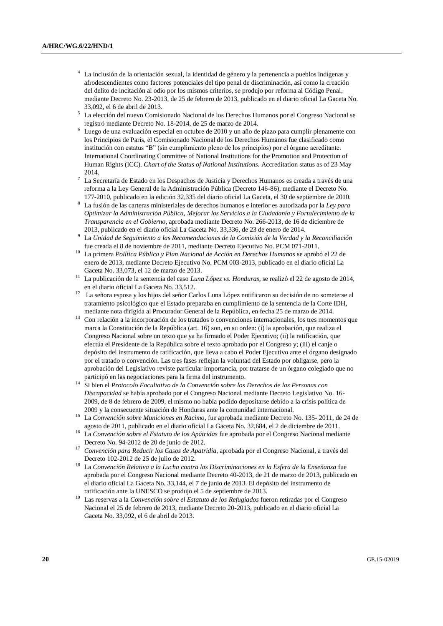- <sup>4</sup> La inclusión de la orientación sexual, la identidad de género y la pertenencia a pueblos indígenas y afrodescendientes como factores potenciales del tipo penal de discriminación, así como la creación del delito de incitación al odio por los mismos criterios, se produjo por reforma al Código Penal, mediante Decreto No. 23-2013, de 25 de febrero de 2013, publicado en el diario oficial La Gaceta No. 33,092, el 6 de abril de 2013.
- <sup>5</sup> La elección del nuevo Comisionado Nacional de los Derechos Humanos por el Congreso Nacional se registró mediante Decreto No. 18-2014, de 25 de marzo de 2014.
- <sup>6</sup> Luego de una evaluación especial en octubre de 2010 y un año de plazo para cumplir plenamente con los Principios de Paris, el Comisionado Nacional de los Derechos Humanos fue clasificado como institución con estatus "B" (sin cumplimiento pleno de los principios) por el órgano acreditante. International Coordinating Committee of National Institutions for the Promotion and Protection of Human Rights (ICC). *Chart of the Status of National Institutions.* Accreditation status as of 23 May 2014.
- <sup>7</sup> La Secretaría de Estado en los Despachos de Justicia y Derechos Humanos es creada a través de una reforma a la Ley General de la Administración Pública (Decreto 146-86), mediante el Decreto No. 177-2010, publicado en la edición 32,335 del diario oficial La Gaceta, el 30 de septiembre de 2010.
- <sup>8</sup> La fusión de las carteras ministeriales de derechos humanos e interior es autorizada por la *Ley para Optimizar la Administración Pública, Mejorar los Servicios a la Ciudadanía y Fortalecimiento de la Transparencia en el Gobierno*, aprobada mediante Decreto No. 266-2013, de 16 de diciembre de 2013, publicado en el diario oficial La Gaceta No. 33,336, de 23 de enero de 2014.
- <sup>9</sup> La *Unidad de Seguimiento a las Recomendaciones de la Comisión de la Verdad y la Reconciliación* fue creada el 8 de noviembre de 2011, mediante Decreto Ejecutivo No. PCM 071-2011.
- <sup>10</sup> La primera *Política Pública y Plan Nacional de Acción en Derechos Humanos* se aprobó el 22 de enero de 2013, mediante Decreto Ejecutivo No. PCM 003-2013, publicado en el diario oficial La Gaceta No. 33,073, el 12 de marzo de 2013.
- <sup>11</sup> La publicación de la sentencia del caso *Luna López vs. Honduras*, se realizó el 22 de agosto de 2014, en el diario oficial La Gaceta No. 33,512.
- <sup>12</sup> La señora esposa y los hijos del señor Carlos Luna López notificaron su decisión de no someterse al tratamiento psicológico que el Estado preparaba en cumplimiento de la sentencia de la Corte IDH, mediante nota dirigida al Procurador General de la República, en fecha 25 de marzo de 2014.
- <sup>13</sup> Con relación a la incorporación de los tratados o convenciones internacionales, los tres momentos que marca la Constitución de la República (art. 16) son, en su orden: (i) la aprobación, que realiza el Congreso Nacional sobre un texto que ya ha firmado el Poder Ejecutivo; (ii) la ratificación, que efectúa el Presidente de la República sobre el texto aprobado por el Congreso y; (iii) el canje o depósito del instrumento de ratificación, que lleva a cabo el Poder Ejecutivo ante el órgano designado por el tratado o convención. Las tres fases reflejan la voluntad del Estado por obligarse, pero la aprobación del Legislativo reviste particular importancia, por tratarse de un órgano colegiado que no participó en las negociaciones para la firma del instrumento.
- <sup>14</sup> Si bien el *Protocolo Facultativo de la Convención sobre los Derechos de las Personas con Discapacidad* se había aprobado por el Congreso Nacional mediante Decreto Legislativo No. 16- 2009, de 8 de febrero de 2009, el mismo no había podido depositarse debido a la crisis política de 2009 y la consecuente situación de Honduras ante la comunidad internacional.
- <sup>15</sup> La *Convención sobre Municiones en Racimo*, fue aprobada mediante Decreto No. 135- 2011, de 24 de agosto de 2011, publicado en el diario oficial La Gaceta No. 32,684, el 2 de diciembre de 2011.
- <sup>16</sup> La *Convención sobre el Estatuto de los Apátridas* fue aprobada por el Congreso Nacional mediante Decreto No. 94-2012 de 20 de junio de 2012.
- <sup>17</sup> *Convención para Reducir los Casos de Apatridia*, aprobada por el Congreso Nacional, a través del Decreto 102-2012 de 25 de julio de 2012.
- <sup>18</sup> La *Convención Relativa a la Lucha contra las Discriminaciones en la Esfera de la Enseñanza* fue aprobada por el Congreso Nacional mediante Decreto 40-2013, de 21 de marzo de 2013, publicado en el diario oficial La Gaceta No. 33,144, el 7 de junio de 2013. El depósito del instrumento de ratificación ante la UNESCO se produjo el 5 de septiembre de 2013.
- <sup>19</sup> Las reservas a la *Convención sobre el Estatuto de los Refugiados* fueron retiradas por el Congreso Nacional el 25 de febrero de 2013, mediante Decreto 20-2013, publicado en el diario oficial La Gaceta No. 33,092, el 6 de abril de 2013.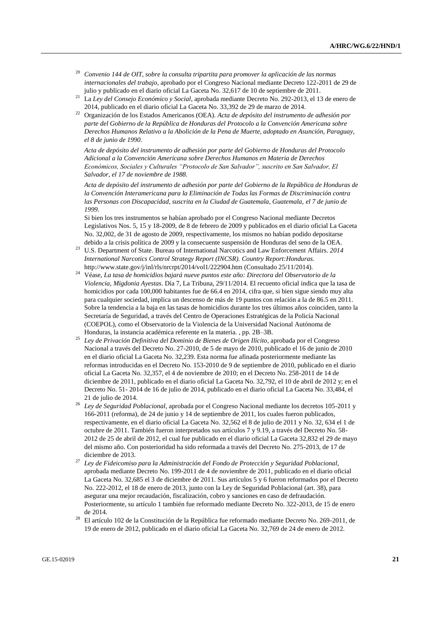- <sup>20</sup> *Convenio 144 de OIT, sobre la consulta tripartita para promover la aplicación de las normas internacionales del trabajo*, aprobado por el Congreso Nacional mediante Decreto 122-2011 de 29 de julio y publicado en el diario oficial La Gaceta No. 32,617 de 10 de septiembre de 2011.
- <sup>21</sup> La *Ley del Consejo Económico y Social*, aprobada mediante Decreto No. 292-2013, el 13 de enero de 2014, publicado en el diario oficial La Gaceta No. 33,392 de 29 de marzo de 2014.
- <sup>22</sup> Organización de los Estados Americanos (OEA). *Acta de depósito del instrumento de adhesión por parte del Gobierno de la República de Honduras del Protocolo a la Convención Americana sobre Derechos Humanos Relativo a la Abolición de la Pena de Muerte, adoptado en Asunción, Paraguay, el 8 de junio de 1990.*

*Acta de depósito del instrumento de adhesión por parte del Gobierno de Honduras del Protocolo Adicional a la Convención Americana sobre Derechos Humanos en Materia de Derechos Económicos, Sociales y Culturales "Protocolo de San Salvador", suscrito en San Salvador, El Salvador, el 17 de noviembre de 1988.*

*Acta de depósito del instrumento de adhesión por parte del Gobierno de la República de Honduras de la Convención Interamericana para la Eliminación de Todas las Formas de Discriminación contra las Personas con Discapacidad, suscrita en la Ciudad de Guatemala, Guatemala, el 7 de junio de 1999.*

Si bien los tres instrumentos se habían aprobado por el Congreso Nacional mediante Decretos Legislativos Nos. 5, 15 y 18-2009, de 8 de febrero de 2009 y publicados en el diario oficial La Gaceta No. 32,002, de 31 de agosto de 2009, respectivamente, los mismos no habían podido depositarse debido a la crisis política de 2009 y la consecuente suspensión de Honduras del seno de la OEA.

- <sup>23</sup> U.S. Department of State. Bureau of International Narcotics and Law Enforcement Affairs. *2014 International Narcotics Control Strategy Report (INCSR). Country Report:Honduras.* http://www.state.gov/j/inl/rls/nrcrpt/2014/vol1/222904.htm (Consultado 25/11/2014).
- <sup>24</sup> Véase, *La tasa de homicidios bajará nueve puntos este año: Directora del Observatorio de la Violencia*, *Migdonia Ayestas*. Día 7, La Tribuna, 29/11/2014. El recuento oficial indica que la tasa de homicidios por cada 100,000 habitantes fue de 66.4 en 2014, cifra que, si bien sigue siendo muy alta para cualquier sociedad, implica un descenso de más de 19 puntos con relación a la de 86.5 en 2011. Sobre la tendencia a la baja en las tasas de homicidios durante los tres últimos años coinciden, tanto la Secretaría de Seguridad, a través del Centro de Operaciones Estratégicas de la Policía Nacional (COEPOL), como el Observatorio de la Violencia de la Universidad Nacional Autónoma de Honduras, la instancia académica referente en la materia. , pp. 2B–3B.
- <sup>25</sup> *Ley de Privación Definitiva del Dominio de Bienes de Origen Ilícito*, aprobada por el Congreso Nacional a través del Decreto No. 27-2010, de 5 de mayo de 2010, publicado el 16 de junio de 2010 en el diario oficial La Gaceta No. 32,239. Esta norma fue afinada posteriormente mediante las reformas introducidas en el Decreto No. 153-2010 de 9 de septiembre de 2010, publicado en el diario oficial La Gaceta No. 32,357, el 4 de noviembre de 2010; en el Decreto No. 258-2011 de 14 de diciembre de 2011, publicado en el diario oficial La Gaceta No. 32,792, el 10 de abril de 2012 y; en el Decreto No. 51- 2014 de 16 de julio de 2014, publicado en el diario oficial La Gaceta No. 33,484, el 21 de julio de 2014.
- <sup>26</sup> *Ley de Seguridad Poblacional*, aprobada por el Congreso Nacional mediante los decretos 105-2011 y 166-2011 (reforma), de 24 de junio y 14 de septiembre de 2011, los cuales fueron publicados, respectivamente, en el diario oficial La Gaceta No. 32,562 el 8 de julio de 2011 y No. 32, 634 el 1 de octubre de 2011. También fueron interpretados sus artículos 7 y 9.19, a través del Decreto No. 58- 2012 de 25 de abril de 2012, el cual fue publicado en el diario oficial La Gaceta 32,832 el 29 de mayo del mismo año. Con posterioridad ha sido reformada a través del Decreto No. 275-2013, de 17 de diciembre de 2013.
- <sup>27</sup> *Ley de Fideicomiso para la Administración del Fondo de Protección y Seguridad Poblacional*, aprobada mediante Decreto No. 199-2011 de 4 de noviembre de 2011, publicado en el diario oficial La Gaceta No. 32,685 el 3 de diciembre de 2011. Sus artículos 5 y 6 fueron reformados por el Decreto No. 222-2012, el 18 de enero de 2013, junto con la Ley de Seguridad Poblacional (art. 38), para asegurar una mejor recaudación, fiscalización, cobro y sanciones en caso de defraudación. Posteriormente, su artículo 1 también fue reformado mediante Decreto No. 322-2013, de 15 de enero de 2014.
- <sup>28</sup> El artículo 102 de la Constitución de la República fue reformado mediante Decreto No. 269-2011, de 19 de enero de 2012, publicado en el diario oficial La Gaceta No. 32,769 de 24 de enero de 2012.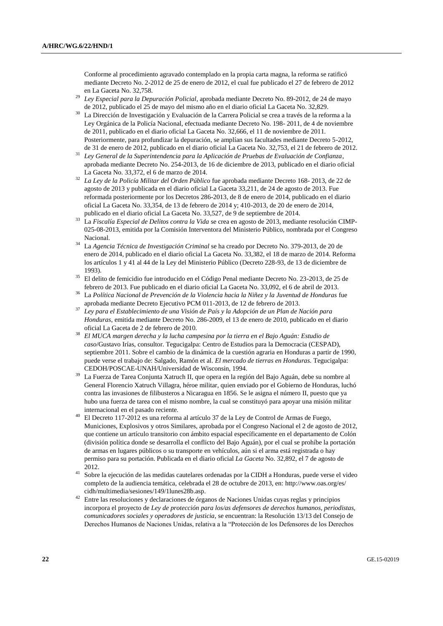Conforme al procedimiento agravado contemplado en la propia carta magna, la reforma se ratificó mediante Decreto No. 2-2012 de 25 de enero de 2012, el cual fue publicado el 27 de febrero de 2012 en La Gaceta No. 32,758.

- <sup>29</sup> *Ley Especial para la Depuración Policial*, aprobada mediante Decreto No. 89-2012, de 24 de mayo de 2012, publicado el 25 de mayo del mismo año en el diario oficial La Gaceta No. 32,829.
- <sup>30</sup> La Dirección de Investigación y Evaluación de la Carrera Policial se crea a través de la reforma a la Ley Orgánica de la Policía Nacional, efectuada mediante Decreto No. 198- 2011, de 4 de noviembre de 2011, publicado en el diario oficial La Gaceta No. 32,666, el 11 de noviembre de 2011. Posteriormente, para profundizar la depuración, se amplían sus facultades mediante Decreto 5-2012, de 31 de enero de 2012, publicado en el diario oficial La Gaceta No. 32,753, el 21 de febrero de 2012.
- <sup>31</sup> *Ley General de la Superintendencia para la Aplicación de Pruebas de Evaluación de Confianza*, aprobada mediante Decreto No. 254-2013, de 16 de diciembre de 2013, publicado en el diario oficial La Gaceta No. 33,372, el 6 de marzo de 2014.
- <sup>32</sup> *La Ley de la Policía Militar del Orden Público* fue aprobada mediante Decreto 168- 2013, de 22 de agosto de 2013 y publicada en el diario oficial La Gaceta 33,211, de 24 de agosto de 2013. Fue reformada posteriormente por los Decretos 286-2013, de 8 de enero de 2014, publicado en el diario oficial La Gaceta No. 33,354, de 13 de febrero de 2014 y; 410-2013, de 20 de enero de 2014, publicado en el diario oficial La Gaceta No. 33,527, de 9 de septiembre de 2014.
- <sup>33</sup> La *Fiscalía Especial de Delitos contra la Vida* se crea en agosto de 2013, mediante resolución CIMP-025-08-2013, emitida por la Comisión Interventora del Ministerio Público, nombrada por el Congreso Nacional.
- <sup>34</sup> La *Agencia Técnica de Investigación Criminal* se ha creado por Decreto No. 379-2013, de 20 de enero de 2014, publicado en el diario oficial La Gaceta No. 33,382, el 18 de marzo de 2014. Reforma los artículos 1 y 41 al 44 de la Ley del Ministerio Público (Decreto 228-93, de 13 de diciembre de 1993).
- <sup>35</sup> El delito de femicidio fue introducido en el Código Penal mediante Decreto No. 23-2013, de 25 de febrero de 2013. Fue publicado en el diario oficial La Gaceta No. 33,092, el 6 de abril de 2013.
- <sup>36</sup> La *Política Nacional de Prevención de la Violencia hacia la Niñez y la Juventud de Honduras* fue aprobada mediante Decreto Ejecutivo PCM 011-2013, de 12 de febrero de 2013.
- <sup>37</sup> *Ley para el Establecimiento de una Visión de País y la Adopción de un Plan de Nación para Honduras*, emitida mediante Decreto No. 286-2009, el 13 de enero de 2010, publicado en el diario oficial La Gaceta de 2 de febrero de 2010.
- <sup>38</sup> *El MUCA margen derecha y la lucha campesina por la tierra en el Bajo Aguán: Estudio de caso*/Gustavo Irías, consultor. Tegucigalpa: Centro de Estudios para la Democracia (CESPAD), septiembre 2011. Sobre el cambio de la dinámica de la cuestión agraria en Honduras a partir de 1990, puede verse el trabajo de: Salgado, Ramón et al. *El mercado de tierras en Honduras.* Tegucigalpa: CEDOH/POSCAE-UNAH/Universidad de Wisconsin, 1994.
- <sup>39</sup> La Fuerza de Tarea Conjunta Xatruch II, que opera en la región del Bajo Aguán, debe su nombre al General Florencio Xatruch Villagra, héroe militar, quien enviado por el Gobierno de Honduras, luchó contra las invasiones de filibusteros a Nicaragua en 1856. Se le asigna el número II, puesto que ya hubo una fuerza de tarea con el mismo nombre, la cual se constituyó para apoyar una misión militar internacional en el pasado reciente.
- <sup>40</sup> El Decreto 117-2012 es una reforma al artículo 37 de la Ley de Control de Armas de Fuego, Municiones, Explosivos y otros Similares, aprobada por el Congreso Nacional el 2 de agosto de 2012, que contiene un artículo transitorio con ámbito espacial específicamente en el departamento de Colón (división política donde se desarrolla el conflicto del Bajo Aguán), por el cual se prohíbe la portación de armas en lugares públicos o su transporte en vehículos, aún si el arma está registrada o hay permiso para su portación. Publicada en el diario oficial *La Gaceta* No. 32,892, el 7 de agosto de 2012.
- <sup>41</sup> Sobre la ejecución de las medidas cautelares ordenadas por la CIDH a Honduras, puede verse el video completo de la audiencia temática, celebrada el 28 de octubre de 2013, en: http://www.oas.org/es/ cidh/multimedia/sesiones/149/1lunes28b.asp.
- <sup>42</sup> Entre las resoluciones y declaraciones de órganos de Naciones Unidas cuyas reglas y principios incorpora el proyecto de *Ley de protección para los/as defensores de derechos humanos, periodistas, comunicadores sociales y operadores de justicia*, se encuentran: la Resolución 13/13 del Consejo de Derechos Humanos de Naciones Unidas, relativa a la "Protección de los Defensores de los Derechos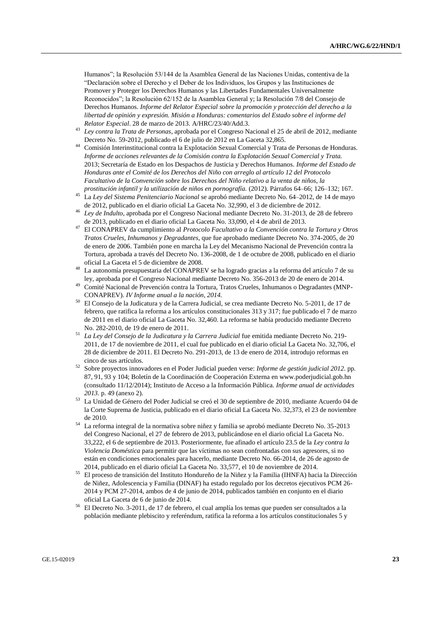Humanos"; la Resolución 53/144 de la Asamblea General de las Naciones Unidas, contentiva de la "Declaración sobre el Derecho y el Deber de los Individuos, los Grupos y las Instituciones de Promover y Proteger los Derechos Humanos y las Libertades Fundamentales Universalmente Reconocidos"; la Resolución 62/152 de la Asamblea General y; la Resolución 7/8 del Consejo de Derechos Humanos. *Informe del Relator Especial sobre la promoción y protección del derecho a la libertad de opinión y expresión. Misión a Honduras: comentarios del Estado sobre el informe del Relator Especial*. 28 de marzo de 2013. A/HRC/23/40/Add.3.

- <sup>43</sup> *Ley contra la Trata de Personas*, aprobada por el Congreso Nacional el 25 de abril de 2012, mediante Decreto No. 59-2012, publicado el 6 de julio de 2012 en La Gaceta 32,865.
- <sup>44</sup> Comisión Interinstitucional contra la Explotación Sexual Comercial y Trata de Personas de Honduras. *Informe de acciones relevantes de la Comisión contra la Explotación Sexual Comercial y Trata.* 2013; Secretaría de Estado en los Despachos de Justicia y Derechos Humanos. *Informe del Estado de Honduras ante el Comité de los Derechos del Niño con arreglo al artículo 12 del Protocolo Facultativo de la Convención sobre los Derechos del Niño relativo a la venta de niños, la prostitución infantil y la utilización de niños en pornografía.* (2012). Párrafos 64–66; 126–132; 167.
- <sup>45</sup> La *Ley del Sistema Penitenciario Nacional* se aprobó mediante Decreto No. 64–2012, de 14 de mayo de 2012, publicado en el diario oficial La Gaceta No. 32,990, el 3 de diciembre de 2012.
- <sup>46</sup> *Ley de Indulto*, aprobada por el Congreso Nacional mediante Decreto No. 31-2013, de 28 de febrero de 2013, publicado en el diario oficial La Gaceta No. 33,090, el 4 de abril de 2013.
- <sup>47</sup> El CONAPREV da cumplimiento al *Protocolo Facultativo a la Convención contra la Tortura y Otros Tratos Crueles, Inhumanos y Degradantes*, que fue aprobado mediante Decreto No. 374-2005, de 20 de enero de 2006. También pone en marcha la Ley del Mecanismo Nacional de Prevención contra la Tortura, aprobada a través del Decreto No. 136-2008, de 1 de octubre de 2008, publicado en el diario oficial La Gaceta el 5 de diciembre de 2008.
- $^{48}\,$  La autonomía presupuestaria del CONAPREV se ha logrado gracias a la reforma del artículo 7 de su ley, aprobada por el Congreso Nacional mediante Decreto No. 356-2013 de 20 de enero de 2014.
- <sup>49</sup> Comité Nacional de Prevención contra la Tortura, Tratos Crueles, Inhumanos o Degradantes (MNP-CONAPREV). *IV Informe anual a la nación, 2014.*
- <sup>50</sup> El Consejo de la Judicatura y de la Carrera Judicial, se crea mediante Decreto No. 5-2011, de 17 de febrero, que ratifica la reforma a los artículos constitucionales 313 y 317; fue publicado el 7 de marzo de 2011 en el diario oficial La Gaceta No. 32,460. La reforma se había producido mediante Decreto No. 282-2010, de 19 de enero de 2011.
- <sup>51</sup> *La Ley del Consejo de la Judicatura y la Carrera Judicial* fue emitida mediante Decreto No. 219- 2011, de 17 de noviembre de 2011, el cual fue publicado en el diario oficial La Gaceta No. 32,706, el 28 de diciembre de 2011. El Decreto No. 291-2013, de 13 de enero de 2014, introdujo reformas en cinco de sus artículos.
- <sup>52</sup> Sobre proyectos innovadores en el Poder Judicial pueden verse: *Informe de gestión judicial 2012.* pp. 87, 91, 93 y 104; Boletín de la Coordinación de Cooperación Externa en www.poderjudicial.gob.hn (consultado 11/12/2014); Instituto de Acceso a la Información Pública. *Informe anual de actividades 2013.* p. 49 (anexo 2).
- <sup>53</sup> La Unidad de Género del Poder Judicial se creó el 30 de septiembre de 2010, mediante Acuerdo 04 de la Corte Suprema de Justicia, publicado en el diario oficial La Gaceta No. 32,373, el 23 de noviembre de 2010.
- <sup>54</sup> La reforma integral de la normativa sobre niñez y familia se aprobó mediante Decreto No. 35-2013 del Congreso Nacional, el 27 de febrero de 2013, publicándose en el diario oficial La Gaceta No. 33,222, el 6 de septiembre de 2013. Posteriormente, fue afinado el artículo 23.5 de la *Ley contra la Violencia Doméstica* para permitir que las víctimas no sean confrontadas con sus agresores, si no están en condiciones emocionales para hacerlo, mediante Decreto No. 66-2014, de 26 de agosto de 2014, publicado en el diario oficial La Gaceta No. 33,577, el 10 de noviembre de 2014.
- <sup>55</sup> El proceso de transición del Instituto Hondureño de la Niñez y la Familia (IHNFA) hacia la Dirección de Niñez, Adolescencia y Familia (DINAF) ha estado regulado por los decretos ejecutivos PCM 26- 2014 y PCM 27-2014, ambos de 4 de junio de 2014, publicados también en conjunto en el diario oficial La Gaceta de 6 de junio de 2014.
- <sup>56</sup> El Decreto No. 3-2011, de 17 de febrero, el cual amplía los temas que pueden ser consultados a la población mediante plebiscito y referéndum, ratifica la reforma a los artículos constitucionales 5 y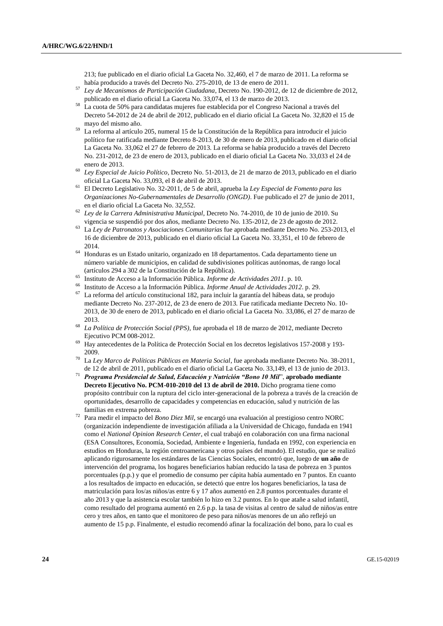213; fue publicado en el diario oficial La Gaceta No. 32,460, el 7 de marzo de 2011. La reforma se había producido a través del Decreto No. 275-2010, de 13 de enero de 2011.

- <sup>57</sup> *Ley de Mecanismos de Participación Ciudadana*, Decreto No. 190-2012, de 12 de diciembre de 2012, publicado en el diario oficial La Gaceta No. 33,074, el 13 de marzo de 2013.
- <sup>58</sup> La cuota de 50% para candidatas mujeres fue establecida por el Congreso Nacional a través del Decreto 54-2012 de 24 de abril de 2012, publicado en el diario oficial La Gaceta No. 32,820 el 15 de mayo del mismo año.
- <sup>59</sup> La reforma al artículo 205, numeral 15 de la Constitución de la República para introducir el juicio político fue ratificada mediante Decreto 8-2013, de 30 de enero de 2013, publicado en el diario oficial La Gaceta No. 33,062 el 27 de febrero de 2013. La reforma se había producido a través del Decreto No. 231-2012, de 23 de enero de 2013, publicado en el diario oficial La Gaceta No. 33,033 el 24 de enero de 2013.
- <sup>60</sup> *Ley Especial de Juicio Político*, Decreto No. 51-2013, de 21 de marzo de 2013, publicado en el diario oficial La Gaceta No. 33,093, el 8 de abril de 2013.
- <sup>61</sup> El Decreto Legislativo No. 32-2011, de 5 de abril, aprueba la *Ley Especial de Fomento para las Organizaciones No-Gubernamentales de Desarrollo (ONGD)*. Fue publicado el 27 de junio de 2011, en el diario oficial La Gaceta No. 32,552.
- <sup>62</sup> *Ley de la Carrera Administrativa Municipal*, Decreto No. 74-2010, de 10 de junio de 2010. Su vigencia se suspendió por dos años, mediante Decreto No. 135-2012, de 23 de agosto de 2012.
- <sup>63</sup> La *Ley de Patronatos y Asociaciones Comunitarias* fue aprobada mediante Decreto No. 253-2013, el 16 de diciembre de 2013, publicado en el diario oficial La Gaceta No. 33,351, el 10 de febrero de 2014.
- <sup>64</sup> Honduras es un Estado unitario, organizado en 18 departamentos. Cada departamento tiene un número variable de municipios, en calidad de subdivisiones políticas autónomas, de rango local (artículos 294 a 302 de la Constitución de la República).
- <sup>65</sup> Instituto de Acceso a la Información Pública. *Informe de Actividades 2011*. p. 10.
- <sup>66</sup> Instituto de Acceso a la Información Pública. *Informe Anual de Actividades 2012*. p. 29.
- La reforma del artículo constitucional 182, para incluir la garantía del hábeas data, se produjo mediante Decreto No. 237-2012, de 23 de enero de 2013. Fue ratificada mediante Decreto No. 10- 2013, de 30 de enero de 2013, publicado en el diario oficial La Gaceta No. 33,086, el 27 de marzo de 2013.
- <sup>68</sup> *La Política de Protección Social (PPS)*, fue aprobada el 18 de marzo de 2012, mediante Decreto Ejecutivo PCM 008-2012.
- <sup>69</sup> Hay antecedentes de la Política de Protección Social en los decretos legislativos 157-2008 y 193- 2009.
- <sup>70</sup> La *Ley Marco de Políticas Públicas en Materia Social*, fue aprobada mediante Decreto No. 38-2011, de 12 de abril de 2011, publicado en el diario oficial La Gaceta No. 33,149, el 13 de junio de 2013.
- <sup>71</sup> *Programa Presidencial de Salud, Educación y Nutrición "Bono 10 Mil*", **aprobado mediante Decreto Ejecutivo No. PCM-010-2010 del 13 de abril de 2010.** Dicho programa tiene como propósito contribuir con la ruptura del ciclo inter-generacional de la pobreza a través de la creación de oportunidades, desarrollo de capacidades y competencias en educación, salud y nutrición de las familias en extrema pobreza.
- <sup>72</sup> Para medir el impacto del *Bono Diez Mil*, se encargó una evaluación al prestigioso centro NORC (organización independiente de investigación afiliada a la Universidad de Chicago, fundada en 1941 como el *National Opinion Research Center*, el cual trabajó en colaboración con una firma nacional (ESA Consultores, Economía, Sociedad, Ambiente e Ingeniería, fundada en 1992, con experiencia en estudios en Honduras, la región centroamericana y otros países del mundo). El estudio, que se realizó aplicando rigurosamente los estándares de las Ciencias Sociales, encontró que, luego de **un año** de intervención del programa, los hogares beneficiarios habían reducido la tasa de pobreza en 3 puntos porcentuales (p.p.) y que el promedio de consumo per cápita había aumentado en 7 puntos. En cuanto a los resultados de impacto en educación, se detectó que entre los hogares beneficiarios, la tasa de matriculación para los/as niños/as entre 6 y 17 años aumentó en 2.8 puntos porcentuales durante el año 2013 y que la asistencia escolar también lo hizo en 3.2 puntos. En lo que atañe a salud infantil, como resultado del programa aumentó en 2.6 p.p. la tasa de visitas al centro de salud de niños/as entre cero y tres años, en tanto que el monitoreo de peso para niños/as menores de un año reflejó un aumento de 15 p.p. Finalmente, el estudio recomendó afinar la focalización del bono, para lo cual es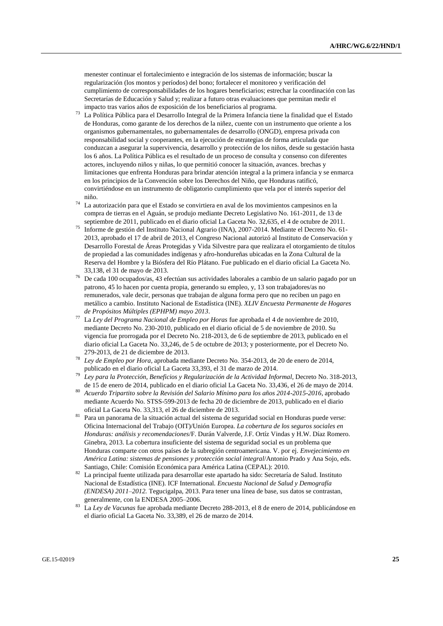menester continuar el fortalecimiento e integración de los sistemas de información; buscar la regularización (los montos y períodos) del bono; fortalecer el monitoreo y verificación del cumplimiento de corresponsabilidades de los hogares beneficiarios; estrechar la coordinación con las Secretarías de Educación y Salud y; realizar a futuro otras evaluaciones que permitan medir el impacto tras varios años de exposición de los beneficiarios al programa.

- <sup>73</sup> La Política Pública para el Desarrollo Integral de la Primera Infancia tiene la finalidad que el Estado de Honduras, como garante de los derechos de la niñez, cuente con un instrumento que oriente a los organismos gubernamentales, no gubernamentales de desarrollo (ONGD), empresa privada con responsabilidad social y cooperantes, en la ejecución de estrategias de forma articulada que conduzcan a asegurar la supervivencia, desarrollo y protección de los niños, desde su gestación hasta los 6 años. La Política Pública es el resultado de un proceso de consulta y consenso con diferentes actores, incluyendo niños y niñas, lo que permitió conocer la situación, avances. brechas y limitaciones que enfrenta Honduras para brindar atención integral a la primera infancia y se enmarca en los principios de la Convención sobre los Derechos del Niño, que Honduras ratificó, convirtiéndose en un instrumento de obligatorio cumplimiento que vela por el interés superior del niño.
- $74$  La autorización para que el Estado se convirtiera en aval de los movimientos campesinos en la compra de tierras en el Aguán, se produjo mediante Decreto Legislativo No. 161-2011, de 13 de septiembre de 2011, publicado en el diario oficial La Gaceta No. 32,635, el 4 de octubre de 2011.
- <sup>75</sup> Informe de gestión del Instituto Nacional Agrario (INA), 2007-2014. Mediante el Decreto No. 61- 2013, aprobado el 17 de abril de 2013, el Congreso Nacional autorizó al Instituto de Conservación y Desarrollo Forestal de Áreas Protegidas y Vida Silvestre para que realizara el otorgamiento de títulos de propiedad a las comunidades indígenas y afro-hondureñas ubicadas en la Zona Cultural de la Reserva del Hombre y la Biósfera del Río Plátano. Fue publicado en el diario oficial La Gaceta No. 33,138, el 31 de mayo de 2013.
- <sup>76</sup> De cada 100 ocupados/as, 43 efectúan sus actividades laborales a cambio de un salario pagado por un patrono, 45 lo hacen por cuenta propia, generando su empleo, y, 13 son trabajadores/as no remunerados, vale decir, personas que trabajan de alguna forma pero que no reciben un pago en metálico a cambio. Instituto Nacional de Estadística (INE). *XLIV Encuesta Permanente de Hogares de Propósitos Múltiples (EPHPM) mayo 2013*.
- <sup>77</sup> La *Ley del Programa Nacional de Empleo por Horas* fue aprobada el 4 de noviembre de 2010, mediante Decreto No. 230-2010, publicado en el diario oficial de 5 de noviembre de 2010. Su vigencia fue prorrogada por el Decreto No. 218-2013, de 6 de septiembre de 2013, publicado en el diario oficial La Gaceta No. 33,246, de 5 de octubre de 2013; y posteriormente, por el Decreto No. 279-2013, de 21 de diciembre de 2013.
- <sup>78</sup> *Ley de Empleo por Hora*, aprobada mediante Decreto No. 354-2013, de 20 de enero de 2014, publicado en el diario oficial La Gaceta 33,393, el 31 de marzo de 2014.
- <sup>79</sup> *Ley para la Protección, Beneficios y Regularización de la Actividad Informal*, Decreto No. 318-2013, de 15 de enero de 2014, publicado en el diario oficial La Gaceta No. 33,436, el 26 de mayo de 2014.
- <sup>80</sup> *Acuerdo Tripartito sobre la Revisión del Salario Mínimo para los años 2014-2015-2016*, aprobado mediante Acuerdo No. STSS-599-2013 de fecha 20 de diciembre de 2013, publicado en el diario oficial La Gaceta No. 33,313, el 26 de diciembre de 2013.
- <sup>81</sup> Para un panorama de la situación actual del sistema de seguridad social en Honduras puede verse: Oficina Internacional del Trabajo (OIT)/Unión Europea. *La cobertura de los seguros sociales en Honduras: análisis y recomendaciones*/F. Durán Valverde, J.F. Ortíz Vindas y H.W. Díaz Romero. Ginebra, 2013. La cobertura insuficiente del sistema de seguridad social es un problema que Honduras comparte con otros países de la subregión centroamericana. V. por ej. *Envejecimiento en América Latina: sistemas de pensiones y protección social integral*/Antonio Prado y Ana Sojo, eds. Santiago, Chile: Comisión Económica para América Latina (CEPAL): 2010.
- <sup>82</sup> La principal fuente utilizada para desarrollar este apartado ha sido: Secretaría de Salud. Instituto Nacional de Estadística (INE). ICF International. *Encuesta Nacional de Salud y Demografía (ENDESA) 2011–2012.* Tegucigalpa, 2013. Para tener una línea de base, sus datos se contrastan, generalmente, con la ENDESA 2005–2006.
- <sup>83</sup> La *Ley de Vacunas* fue aprobada mediante Decreto 288-2013, el 8 de enero de 2014, publicándose en el diario oficial La Gaceta No. 33,389, el 26 de marzo de 2014.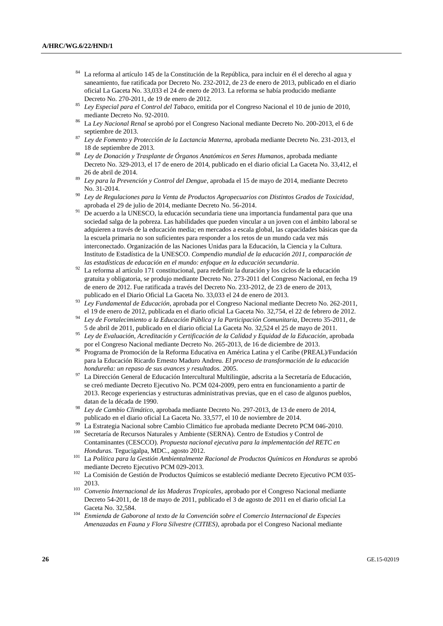- La reforma al artículo 145 de la Constitución de la República, para incluir en él el derecho al agua y saneamiento, fue ratificada por Decreto No. 232-2012, de 23 de enero de 2013, publicado en el diario oficial La Gaceta No. 33,033 el 24 de enero de 2013. La reforma se había producido mediante Decreto No. 270-2011, de 19 de enero de 2012.
- <sup>85</sup> *Ley Especial para el Control del Tabaco*, emitida por el Congreso Nacional el 10 de junio de 2010, mediante Decreto No. 92-2010.
- <sup>86</sup> La *Ley Nacional Renal* se aprobó por el Congreso Nacional mediante Decreto No. 200-2013, el 6 de septiembre de 2013.
- <sup>87</sup> *Ley de Fomento y Protección de la Lactancia Materna*, aprobada mediante Decreto No. 231-2013, el 18 de septiembre de 2013.
- <sup>88</sup> *Ley de Donación y Trasplante de Órganos Anatómicos en Seres Humanos*, aprobada mediante Decreto No. 329-2013, el 17 de enero de 2014, publicado en el diario oficial La Gaceta No. 33,412, el 26 de abril de 2014.
- <sup>89</sup> *Ley para la Prevención y Control del Dengue*, aprobada el 15 de mayo de 2014, mediante Decreto No. 31-2014.
- <sup>90</sup> *Ley de Regulaciones para la Venta de Productos Agropecuarios con Distintos Grados de Toxicidad*, aprobada el 29 de julio de 2014, mediante Decreto No. 56-2014.
- <sup>91</sup> De acuerdo a la UNESCO, la educación secundaria tiene una importancia fundamental para que una sociedad salga de la pobreza. Las habilidades que pueden vincular a un joven con el ámbito laboral se adquieren a través de la educación media; en mercados a escala global, las capacidades básicas que da la escuela primaria no son suficientes para responder a los retos de un mundo cada vez más interconectado. Organización de las Naciones Unidas para la Educación, la Ciencia y la Cultura. Instituto de Estadística de la UNESCO. *Compendio mundial de la educación 2011, comparación de las estadísticas de educación en el mundo: enfoque en la educación secundaria*.
- $92$  La reforma al artículo 171 constitucional, para redefinir la duración y los ciclos de la educación gratuita y obligatoria, se produjo mediante Decreto No. 273-2011 del Congreso Nacional, en fecha 19 de enero de 2012. Fue ratificada a través del Decreto No. 233-2012, de 23 de enero de 2013, publicado en el Diario Oficial La Gaceta No. 33,033 el 24 de enero de 2013.
- <sup>93</sup> *Ley Fundamental de Educación*, aprobada por el Congreso Nacional mediante Decreto No. 262-2011, el 19 de enero de 2012, publicada en el diario oficial La Gaceta No. 32,754, el 22 de febrero de 2012.
- <sup>94</sup> *Ley de Fortalecimiento a la Educación Pública y la Participación Comunitaria*, Decreto 35-2011, de 5 de abril de 2011, publicado en el diario oficial La Gaceta No. 32,524 el 25 de mayo de 2011.
- <sup>95</sup> *Ley de Evaluación, Acreditación y Certificación de la Calidad y Equidad de la Educación*, aprobada por el Congreso Nacional mediante Decreto No. 265-2013, de 16 de diciembre de 2013.
- <sup>96</sup> Programa de Promoción de la Reforma Educativa en América Latina y el Caribe (PREAL)/Fundación para la Educación Ricardo Ernesto Maduro Andreu. *El proceso de transformación de la educación hondureña: un repaso de sus avances y resultados.* 2005.
- <sup>97</sup> La Dirección General de Educación Intercultural Multilingüe, adscrita a la Secretaría de Educación, se creó mediante Decreto Ejecutivo No. PCM 024-2009, pero entra en funcionamiento a partir de 2013. Recoge experiencias y estructuras administrativas previas, que en el caso de algunos pueblos, datan de la década de 1990.
- <sup>98</sup> *Ley de Cambio Climático*, aprobada mediante Decreto No. 297-2013, de 13 de enero de 2014, publicado en el diario oficial La Gaceta No. 33,577, el 10 de noviembre de 2014.
- La Estrategia Nacional sobre Cambio Climático fue aprobada mediante Decreto PCM 046-2010.
- <sup>100</sup> Secretaría de Recursos Naturales y Ambiente (SERNA). Centro de Estudios y Control de Contaminantes (CESCCO). *Propuesta nacional ejecutiva para la implementación del RETC en Honduras.* Tegucigalpa, MDC., agosto 2012.
- <sup>101</sup> La *Política para la Gestión Ambientalmente Racional de Productos Químicos en Honduras* se aprobó mediante Decreto Ejecutivo PCM 029-2013.
- <sup>102</sup> La Comisión de Gestión de Productos Químicos se estableció mediante Decreto Ejecutivo PCM 035-2013.
- <sup>103</sup> *Convenio Internacional de las Maderas Tropicales*, aprobado por el Congreso Nacional mediante Decreto 54-2011, de 18 de mayo de 2011, publicado el 3 de agosto de 2011 en el diario oficial La Gaceta No. 32,584.
- <sup>104</sup> *Enmienda de Gaborone al texto de la Convención sobre el Comercio Internacional de Especies Amenazadas en Fauna y Flora Silvestre (CITIES)*, aprobada por el Congreso Nacional mediante